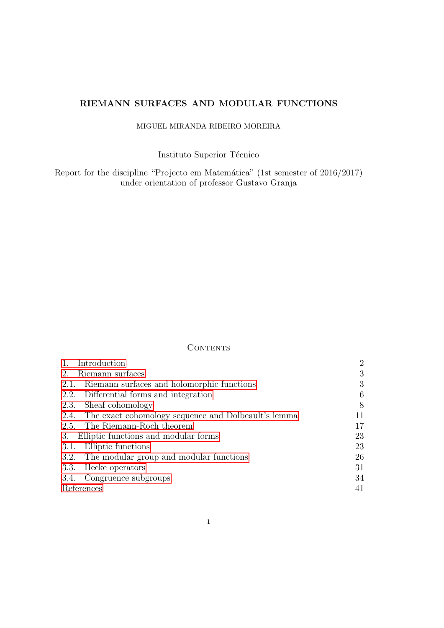# RIEMANN SURFACES AND MODULAR FUNCTIONS

# MIGUEL MIRANDA RIBEIRO MOREIRA

Instituto Superior Técnico

Report for the discipline "Projecto em Matemática" (1st semester of 2016/2017) under orientation of professor Gustavo Granja

# CONTENTS

| Introduction                                             | $\overline{2}$ |
|----------------------------------------------------------|----------------|
| Riemann surfaces<br>2.                                   | 3              |
| 2.1. Riemann surfaces and holomorphic functions          | 3              |
| 2.2. Differential forms and integration                  | 6              |
| 2.3. Sheaf cohomology                                    | 8              |
| 2.4. The exact cohomology sequence and Dolbeault's lemma | 11             |
| 2.5. The Riemann-Roch theorem                            | 17             |
| Elliptic functions and modular forms<br>3.               | 23             |
| Elliptic functions<br>3.1.                               | 23             |
| 3.2. The modular group and modular functions             | 26             |
| 3.3. Hecke operators                                     | 31             |
| 3.4. Congruence subgroups                                | 34             |
| References                                               | 41             |
|                                                          |                |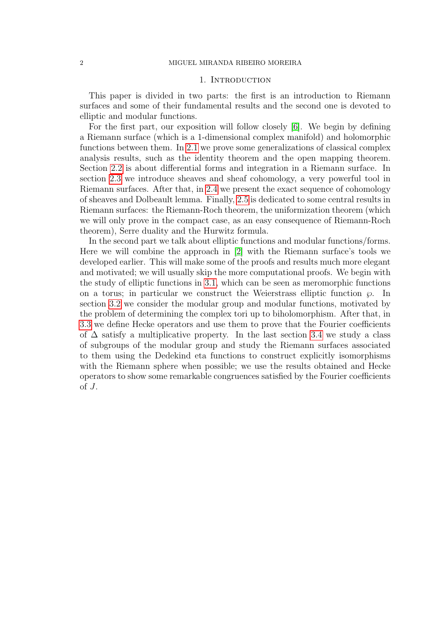## 1. INTRODUCTION

<span id="page-1-0"></span>This paper is divided in two parts: the first is an introduction to Riemann surfaces and some of their fundamental results and the second one is devoted to elliptic and modular functions.

For the first part, our exposition will follow closely [\[6\]](#page-40-1). We begin by defining a Riemann surface (which is a 1-dimensional complex manifold) and holomorphic functions between them. In [2.1](#page-2-1) we prove some generalizations of classical complex analysis results, such as the identity theorem and the open mapping theorem. Section [2.2](#page-5-0) is about differential forms and integration in a Riemann surface. In section [2.3](#page-7-0) we introduce sheaves and sheaf cohomology, a very powerful tool in Riemann surfaces. After that, in [2.4](#page-10-0) we present the exact sequence of cohomology of sheaves and Dolbeault lemma. Finally, [2.5](#page-16-0) is dedicated to some central results in Riemann surfaces: the Riemann-Roch theorem, the uniformization theorem (which we will only prove in the compact case, as an easy consequence of Riemann-Roch theorem), Serre duality and the Hurwitz formula.

In the second part we talk about elliptic functions and modular functions/forms. Here we will combine the approach in [\[2\]](#page-40-2) with the Riemann surface's tools we developed earlier. This will make some of the proofs and results much more elegant and motivated; we will usually skip the more computational proofs. We begin with the study of elliptic functions in [3.1,](#page-22-1) which can be seen as meromorphic functions on a torus; in particular we construct the Weierstrass elliptic function  $\wp$ . In section [3.2](#page-25-0) we consider the modular group and modular functions, motivated by the problem of determining the complex tori up to biholomorphism. After that, in [3.3](#page-30-0) we define Hecke operators and use them to prove that the Fourier coefficients of  $\Delta$  satisfy a multiplicative property. In the last section [3.4](#page-33-0) we study a class of subgroups of the modular group and study the Riemann surfaces associated to them using the Dedekind eta functions to construct explicitly isomorphisms with the Riemann sphere when possible; we use the results obtained and Hecke operators to show some remarkable congruences satisfied by the Fourier coefficients of  $J$ .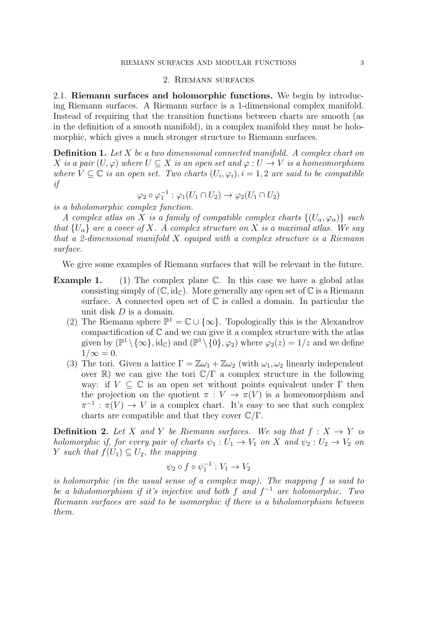## 2. Riemann surfaces

<span id="page-2-1"></span><span id="page-2-0"></span>2.1. Riemann surfaces and holomorphic functions. We begin by introducing Riemann surfaces. A Riemann surface is a 1-dimensional complex manifold. Instead of requiring that the transition functions between charts are smooth (as in the definition of a smooth manifold), in a complex manifold they must be holomorphic, which gives a much stronger structure to Riemann surfaces.

**Definition 1.** Let X be a two dimensional connected manifold. A complex chart on X is a pair  $(U, \varphi)$  where  $U \subseteq X$  is an open set and  $\varphi : U \to V$  is a homeomorphism where  $V \subseteq \mathbb{C}$  is an open set. Two charts  $(U_i, \varphi_i), i = 1, 2$  are said to be compatible if

$$
\varphi_2 \circ \varphi_1^{-1} : \varphi_1(U_1 \cap U_2) \to \varphi_2(U_1 \cap U_2)
$$

is a biholomorphic complex function.

A complex atlas on X is a family of compatible complex charts  $\{(U_{\alpha}, \varphi_{\alpha})\}$  such that  $\{U_{\alpha}\}\$ are a cover of X. A complex structure on X is a maximal atlas. We say that a 2-dimensional manifold X equiped with a complex structure is a Riemann surface.

We give some examples of Riemann surfaces that will be relevant in the future.

- **Example 1.** (1) The complex plane  $\mathbb{C}$ . In this case we have a global atlas consisting simply of  $(\mathbb{C}, \mathrm{id}_{\mathbb{C}})$ . More generally any open set of  $\mathbb{C}$  is a Riemann surface. A connected open set of  $\mathbb C$  is called a domain. In particular the unit disk D is a domain.
	- (2) The Riemann sphere  $\mathbb{P}^1 = \mathbb{C} \cup {\infty}$ . Topologically this is the Alexandrov compactification of  $\mathbb C$  and we can give it a complex structure with the atlas given by  $(\mathbb{P}^1 \setminus {\{\infty\}}, \mathrm{id}_{\mathbb{C}})$  and  $(\mathbb{P}^1 \setminus {\{0\}}, \varphi_2)$  where  $\varphi_2(z) = 1/z$  and we define  $1/\infty = 0$ .
	- (3) The tori. Given a lattice  $\Gamma = \mathbb{Z}\omega_1 + \mathbb{Z}\omega_2$  (with  $\omega_1, \omega_2$  linearly independent over  $\mathbb{R}$ ) we can give the tori  $\mathbb{C}/\Gamma$  a complex structure in the following way: if  $V \subseteq \mathbb{C}$  is an open set without points equivalent under  $\Gamma$  then the projection on the quotient  $\pi: V \to \pi(V)$  is a homeomorphism and  $\pi^{-1} : \pi(V) \to V$  is a complex chart. It's easy to see that such complex charts are compatible and that they cover  $\mathbb{C}/\Gamma$ .

**Definition 2.** Let X and Y be Riemann surfaces. We say that  $f: X \rightarrow Y$  is holomorphic if, for every pair of charts  $\psi_1 : U_1 \to V_1$  on X and  $\psi_2 : U_2 \to V_2$  on Y such that  $f(U_1) \subseteq U_2$ , the mapping

$$
\psi_2 \circ f \circ \psi_1^{-1} : V_1 \to V_2
$$

is holomorphic (in the usual sense of a complex map). The mapping f is said to be a biholomorphism if it's injective and both f and  $f^{-1}$  are holomorphic. Two Riemann surfaces are said to be isomorphic if there is a biholomorphism between them.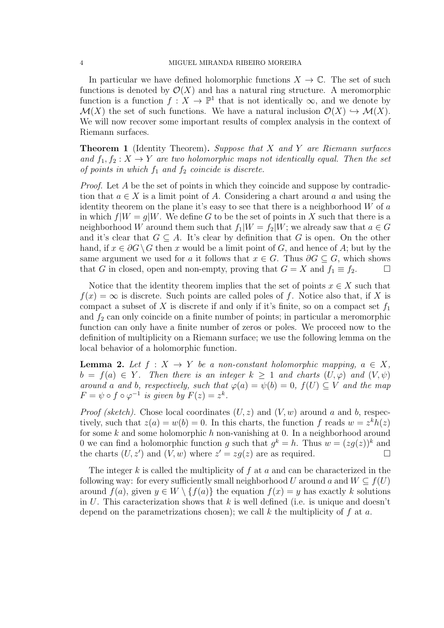#### 4 MIGUEL MIRANDA RIBEIRO MOREIRA

In particular we have defined holomorphic functions  $X \to \mathbb{C}$ . The set of such functions is denoted by  $\mathcal{O}(X)$  and has a natural ring structure. A meromorphic function is a function  $f: X \to \mathbb{P}^1$  that is not identically  $\infty$ , and we denote by  $\mathcal{M}(X)$  the set of such functions. We have a natural inclusion  $\mathcal{O}(X) \hookrightarrow \mathcal{M}(X)$ . We will now recover some important results of complex analysis in the context of Riemann surfaces.

**Theorem 1** (Identity Theorem). Suppose that  $X$  and  $Y$  are Riemann surfaces and  $f_1, f_2: X \to Y$  are two holomorphic maps not identically equal. Then the set of points in which  $f_1$  and  $f_2$  coincide is discrete.

Proof. Let A be the set of points in which they coincide and suppose by contradiction that  $a \in X$  is a limit point of A. Considering a chart around a and using the identity theorem on the plane it's easy to see that there is a neighborhood  $W$  of  $a$ in which  $f|W = q|W$ . We define G to be the set of points in X such that there is a neighborhood W around them such that  $f_1|W = f_2|W$ ; we already saw that  $a \in G$ and it's clear that  $G \subseteq A$ . It's clear by definition that G is open. On the other hand, if  $x \in \partial G \backslash G$  then x would be a limit point of G, and hence of A; but by the same argument we used for a it follows that  $x \in G$ . Thus  $\partial G \subseteq G$ , which shows that G in closed, open and non-empty, proving that  $G = X$  and  $f_1 \equiv f_2$ .

Notice that the identity theorem implies that the set of points  $x \in X$  such that  $f(x) = \infty$  is discrete. Such points are called poles of f. Notice also that, if X is compact a subset of X is discrete if and only if it's finite, so on a compact set  $f_1$ and  $f_2$  can only coincide on a finite number of points; in particular a meromorphic function can only have a finite number of zeros or poles. We proceed now to the definition of multiplicity on a Riemann surface; we use the following lemma on the local behavior of a holomorphic function.

<span id="page-3-0"></span>**Lemma 2.** Let  $f: X \to Y$  be a non-constant holomorphic mapping,  $a \in X$ ,  $b = f(a) \in Y$ . Then there is an integer  $k \ge 1$  and charts  $(U, \varphi)$  and  $(V, \psi)$ around a and b, respectively, such that  $\varphi(a) = \psi(b) = 0$ ,  $f(U) \subseteq V$  and the map  $F = \psi \circ f \circ \varphi^{-1}$  is given by  $F(z) = z^k$ .

*Proof (sketch).* Chose local coordinates  $(U, z)$  and  $(V, w)$  around a and b, respectively, such that  $z(a) = w(b) = 0$ . In this charts, the function f reads  $w = z^k h(z)$ for some k and some holomorphic h non-vanishing at 0. In a neighborhood around 0 we can find a holomorphic function g such that  $g^k = h$ . Thus  $w = (zg(z))^k$  and the charts  $(U, z')$  and  $(\overline{V}, w)$  where  $z' = zg(z)$  are as required.

The integer k is called the multiplicity of f at a and can be characterized in the following way: for every sufficiently small neighborhood U around a and  $W \subseteq f(U)$ around  $f(a)$ , given  $y \in W \setminus \{f(a)\}\$ the equation  $f(x) = y$  has exactly k solutions in U. This caracterization shows that  $k$  is well defined (i.e. is unique and doesn't depend on the parametrizations chosen); we call  $k$  the multiplicity of  $f$  at  $a$ .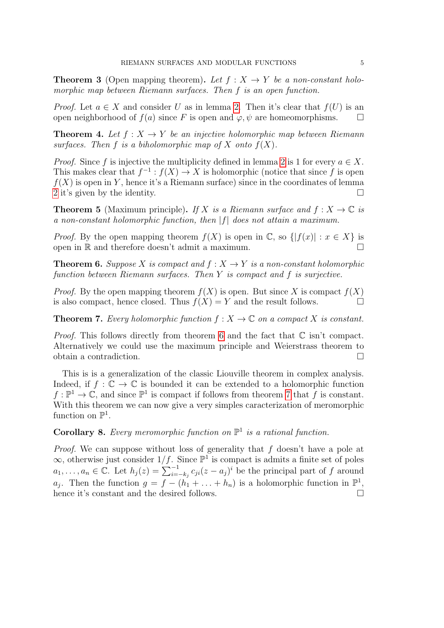**Theorem 3** (Open mapping theorem). Let  $f : X \rightarrow Y$  be a non-constant holomorphic map between Riemann surfaces. Then f is an open function.

*Proof.* Let  $a \in X$  and consider U as in lemma [2.](#page-3-0) Then it's clear that  $f(U)$  is an open neighborhood of  $f(a)$  since F is open and  $\varphi, \psi$  are homeomorphisms.  $\square$ 

<span id="page-4-2"></span>**Theorem 4.** Let  $f: X \rightarrow Y$  be an injective holomorphic map between Riemann surfaces. Then f is a biholomorphic map of X onto  $f(X)$ .

*Proof.* Since f is injective the multiplicity defined in lemma [2](#page-3-0) is 1 for every  $a \in X$ . This makes clear that  $f^{-1}: f(X) \to X$  is holomorphic (notice that since f is open  $f(X)$  is open in Y, hence it's a Riemann surface) since in the coordinates of lemma [2](#page-3-0) it's given by the identity.

**Theorem 5** (Maximum principle). If X is a Riemann surface and  $f: X \to \mathbb{C}$  is a non-constant holomorphic function, then  $|f|$  does not attain a maximum.

*Proof.* By the open mapping theorem  $f(X)$  is open in  $\mathbb{C}$ , so  $\{ |f(x)| : x \in X \}$  is open in  $\mathbb R$  and therefore doesn't admit a maximum.  $\Box$ 

<span id="page-4-0"></span>**Theorem 6.** Suppose X is compact and  $f : X \to Y$  is a non-constant holomorphic function between Riemann surfaces. Then Y is compact and f is surjective.

*Proof.* By the open mapping theorem  $f(X)$  is open. But since X is compact  $f(X)$ is also compact, hence closed. Thus  $f(X) = Y$  and the result follows.

<span id="page-4-1"></span>**Theorem 7.** Every holomorphic function  $f: X \to \mathbb{C}$  on a compact X is constant.

*Proof.* This follows directly from theorem [6](#page-4-0) and the fact that  $\mathbb C$  isn't compact. Alternatively we could use the maximum principle and Weierstrass theorem to obtain a contradiction.

This is is a generalization of the classic Liouville theorem in complex analysis. Indeed, if  $f : \mathbb{C} \to \mathbb{C}$  is bounded it can be extended to a holomorphic function  $f: \mathbb{P}^1 \to \mathbb{C}$ , and since  $\mathbb{P}^1$  is compact if follows from theorem [7](#page-4-1) that f is constant. With this theorem we can now give a very simples caracterization of meromorphic function on  $\mathbb{P}^1$ .

# <span id="page-4-3"></span>**Corollary 8.** Every meromorphic function on  $\mathbb{P}^1$  is a rational function.

Proof. We can suppose without loss of generality that f doesn't have a pole at  $\infty$ , otherwise just consider  $1/f$ . Since  $\mathbb{P}^1$  is compact is admits a finite set of poles  $a_1, \ldots, a_n \in \mathbb{C}$ . Let  $h_j(z) = \sum_{i=-k_j}^{-1} c_{ji}(z-a_j)^i$  be the principal part of f around  $a_j$ . Then the function  $g = f - (h_1 + \ldots + h_n)$  is a holomorphic function in  $\mathbb{P}^1$ , hence it's constant and the desired follows.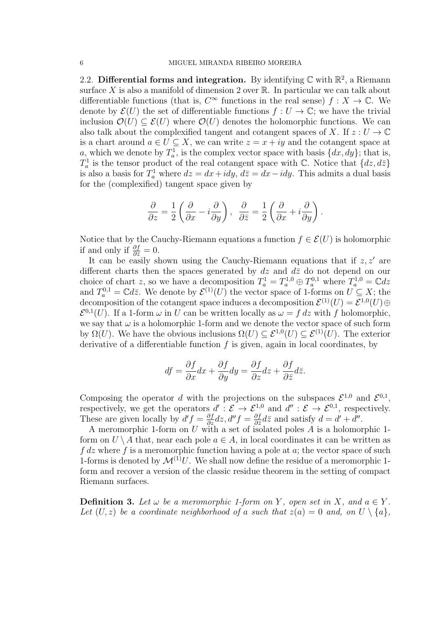<span id="page-5-0"></span>2.2. Differential forms and integration. By identifying  $\mathbb C$  with  $\mathbb R^2$ , a Riemann surface X is also a manifold of dimension 2 over  $\mathbb R$ . In particular we can talk about differentiable functions (that is,  $C^{\infty}$  functions in the real sense)  $f: X \to \mathbb{C}$ . We denote by  $\mathcal{E}(U)$  the set of differentiable functions  $f: U \to \mathbb{C}$ ; we have the trivial inclusion  $\mathcal{O}(U) \subseteq \mathcal{E}(U)$  where  $\mathcal{O}(U)$  denotes the holomorphic functions. We can also talk about the complexified tangent and cotangent spaces of X. If  $z: U \to \mathbb{C}$ is a chart around  $a \in U \subseteq X$ , we can write  $z = x + iy$  and the cotangent space at a, which we denote by  $T_a^1$ , is the complex vector space with basis  $\{dx, dy\}$ ; that is,  $T_a^1$  is the tensor product of the real cotangent space with  $\mathbb C$ . Notice that  $\{dz, d\bar{z}\}$ is also a basis for  $T_a^1$  where  $dz = dx + idy$ ,  $d\overline{z} = dx - idy$ . This admits a dual basis for the (complexified) tangent space given by

$$
\frac{\partial}{\partial z} = \frac{1}{2} \left( \frac{\partial}{\partial x} - i \frac{\partial}{\partial y} \right), \quad \frac{\partial}{\partial \bar{z}} = \frac{1}{2} \left( \frac{\partial}{\partial x} + i \frac{\partial}{\partial y} \right).
$$

Notice that by the Cauchy-Riemann equations a function  $f \in \mathcal{E}(U)$  is holomorphic if and only if  $\frac{\partial f}{\partial \bar{z}} = 0$ .

It can be easily shown using the Cauchy-Riemann equations that if  $z, z'$  are different charts then the spaces generated by  $dz$  and  $d\overline{z}$  do not depend on our choice of chart z, so we have a decomposition  $T_a^1 = T_a^{1,0} \oplus T_a^{0,1}$  where  $T_a^{1,0} = \mathbb{C}dz$ and  $T_a^{0,1} = \mathbb{C}d\bar{z}$ . We denote by  $\mathcal{E}^{(1)}(U)$  the vector space of 1-forms on  $U \subseteq X$ ; the decomposition of the cotangent space induces a decomposition  $\mathcal{E}^{(1)}(U) = \mathcal{E}^{1,0}(U) \oplus$  $\mathcal{E}^{0,1}(U)$ . If a 1-form  $\omega$  in U can be written locally as  $\omega = f dz$  with f holomorphic, we say that  $\omega$  is a holomorphic 1-form and we denote the vector space of such form by  $\Omega(U)$ . We have the obvious inclusions  $\Omega(U) \subseteq \mathcal{E}^{1,0}(U) \subseteq \mathcal{E}^{(1)}(U)$ . The exterior derivative of a differentiable function  $f$  is given, again in local coordinates, by

$$
df = \frac{\partial f}{\partial x}dx + \frac{\partial f}{\partial y}dy = \frac{\partial f}{\partial z}dz + \frac{\partial f}{\partial \overline{z}}d\overline{z}.
$$

Composing the operator d with the projections on the subspaces  $\mathcal{E}^{1,0}$  and  $\mathcal{E}^{0,1}$ , respectively, we get the operators  $d' : \mathcal{E} \to \mathcal{E}^{1,0}$  and  $d'' : \mathcal{E} \to \mathcal{E}^{0,1}$ , respectively. These are given locally by  $d'f = \frac{\partial f}{\partial z} dz, d''f = \frac{\partial f}{\partial \overline{z}}$  $\frac{\partial f}{\partial \bar{z}}d\bar{z}$  and satisfy  $d = d' + d''$ .

A meromorphic 1-form on  $U$  with a set of isolated poles  $A$  is a holomorphic 1form on  $U \setminus A$  that, near each pole  $a \in A$ , in local coordinates it can be written as  $f$  dz where f is a meromorphic function having a pole at  $a$ ; the vector space of such 1-forms is denoted by  $\mathcal{M}^{(1)}U$ . We shall now define the residue of a meromorphic 1form and recover a version of the classic residue theorem in the setting of compact Riemann surfaces.

**Definition 3.** Let  $\omega$  be a meromorphic 1-form on Y, open set in X, and  $a \in Y$ . Let  $(U, z)$  be a coordinate neighborhood of a such that  $z(a) = 0$  and, on  $U \setminus \{a\}$ ,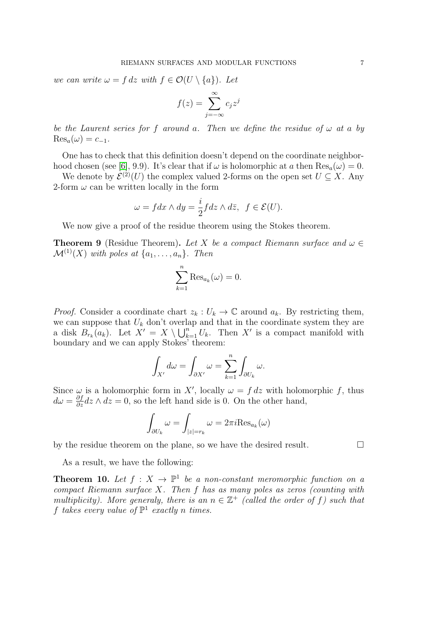we can write  $\omega = f dz$  with  $f \in \mathcal{O}(U \setminus \{a\})$ . Let

$$
f(z) = \sum_{j=-\infty}^{\infty} c_j z^j
$$

be the Laurent series for f around a. Then we define the residue of  $\omega$  at a by  $\text{Res}_{a}(\omega) = c_{-1}.$ 

One has to check that this definition doesn't depend on the coordinate neighbor-hood chosen (see [\[6\]](#page-40-1), 9.9). It's clear that if  $\omega$  is holomorphic at a then  $\text{Res}_a(\omega) = 0$ .

We denote by  $\mathcal{E}^{(2)}(U)$  the complex valued 2-forms on the open set  $U \subseteq X$ . Any 2-form  $\omega$  can be written locally in the form

$$
\omega = f dx \wedge dy = \frac{i}{2} f dz \wedge d\overline{z}, \ \ f \in \mathcal{E}(U).
$$

We now give a proof of the residue theorem using the Stokes theorem.

**Theorem 9** (Residue Theorem). Let X be a compact Riemann surface and  $\omega \in$  $\mathcal{M}^{(1)}(X)$  with poles at  $\{a_1, \ldots, a_n\}$ . Then

$$
\sum_{k=1}^{n} \text{Res}_{a_k}(\omega) = 0.
$$

*Proof.* Consider a coordinate chart  $z_k : U_k \to \mathbb{C}$  around  $a_k$ . By restricting them, we can suppose that  $U_k$  don't overlap and that in the coordinate system they are a disk  $B_{r_k}(a_k)$ . Let  $X' = X \setminus \bigcup_{k=1}^n U_k$ . Then X' is a compact manifold with boundary and we can apply Stokes' theorem:

$$
\int_{X'} d\omega = \int_{\partial X'} \omega = \sum_{k=1}^n \int_{\partial U_k} \omega.
$$

Since  $\omega$  is a holomorphic form in X', locally  $\omega = f dz$  with holomorphic f, thus  $d\omega = \frac{\partial f}{\partial z} dz \wedge dz = 0$ , so the left hand side is 0. On the other hand,

$$
\int_{\partial U_k} \omega = \int_{|z|=r_k} \omega = 2\pi i \text{Res}_{a_k}(\omega)
$$

by the residue theorem on the plane, so we have the desired result.

As a result, we have the following:

<span id="page-6-0"></span>**Theorem 10.** Let  $f: X \to \mathbb{P}^1$  be a non-constant meromorphic function on a compact Riemann surface X. Then f has as many poles as zeros (counting with multiplicity). More generaly, there is an  $n \in \mathbb{Z}^+$  (called the order of f) such that f takes every value of  $\mathbb{P}^1$  exactly n times.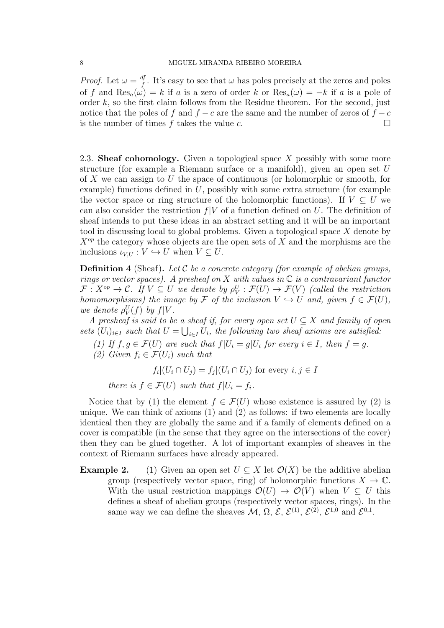*Proof.* Let  $\omega = \frac{df}{f}$  $\frac{df}{f}$ . It's easy to see that  $\omega$  has poles precisely at the zeros and poles of f and  $\text{Res}_a(\omega) = k$  if a is a zero of order k or  $\text{Res}_a(\omega) = -k$  if a is a pole of order  $k$ , so the first claim follows from the Residue theorem. For the second, just notice that the poles of f and  $f - c$  are the same and the number of zeros of  $f - c$ is the number of times f takes the value c.  $\Box$ 

<span id="page-7-0"></span>2.3. Sheaf cohomology. Given a topological space  $X$  possibly with some more structure (for example a Riemann surface or a manifold), given an open set  $U$ of X we can assign to U the space of continuous (or holomorphic or smooth, for example) functions defined in  $U$ , possibly with some extra structure (for example the vector space or ring structure of the holomorphic functions). If  $V \subseteq U$  we can also consider the restriction  $f|V$  of a function defined on U. The definition of sheaf intends to put these ideas in an abstract setting and it will be an important tool in discussing local to global problems. Given a topological space X denote by  $X^{op}$  the category whose objects are the open sets of X and the morphisms are the inclusions  $\iota_{V,U}: V \hookrightarrow U$  when  $V \subseteq U$ .

**Definition 4** (Sheaf). Let C be a concrete category (for example of abelian groups, rings or vector spaces). A presheaf on X with values in  $\mathbb C$  is a contravariant functor  $\mathcal{F}: X^{op} \to \mathcal{C}.$  If  $V \subseteq U$  we denote by  $\rho_V^U: \mathcal{F}(U) \to \mathcal{F}(V)$  (called the restriction homomorphisms) the image by F of the inclusion  $V \hookrightarrow U$  and, given  $f \in \mathcal{F}(U)$ , we denote  $\rho_V^U(f)$  by  $f|V$ .

A presheaf is said to be a sheaf if, for every open set  $U \subseteq X$  and family of open sets  $(U_i)_{i\in I}$  such that  $U = \bigcup_{i\in I} U_i$ , the following two sheaf axioms are satisfied:

- (1) If  $f, g \in \mathcal{F}(U)$  are such that  $f|U_i = g|U_i$  for every  $i \in I$ , then  $f = g$ .
- (2) Given  $f_i \in \mathcal{F}(U_i)$  such that

$$
f_i|(U_i \cap U_j) = f_j|(U_i \cap U_j) \text{ for every } i, j \in I
$$

there is  $f \in \mathcal{F}(U)$  such that  $f|U_i = f_i$ .

Notice that by (1) the element  $f \in \mathcal{F}(U)$  whose existence is assured by (2) is unique. We can think of axioms (1) and (2) as follows: if two elements are locally identical then they are globally the same and if a family of elements defined on a cover is compatible (in the sense that they agree on the intersections of the cover) then they can be glued together. A lot of important examples of sheaves in the context of Riemann surfaces have already appeared.

**Example 2.** (1) Given an open set  $U \subseteq X$  let  $\mathcal{O}(X)$  be the additive abelian group (respectively vector space, ring) of holomorphic functions  $X \to \mathbb{C}$ . With the usual restriction mappings  $\mathcal{O}(U) \to \mathcal{O}(V)$  when  $V \subseteq U$  this defines a sheaf of abelian groups (respectively vector spaces, rings). In the same way we can define the sheaves  $\mathcal{M}, \Omega, \mathcal{E}, \mathcal{E}^{(1)}, \mathcal{E}^{(2)}, \mathcal{E}^{1,0}$  and  $\mathcal{E}^{0,1}$ .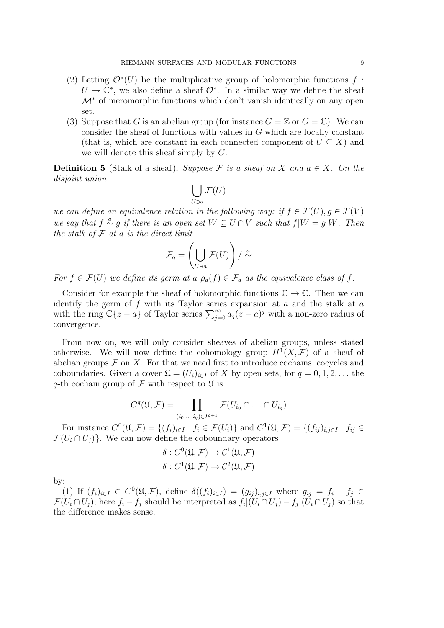- (2) Letting  $\mathcal{O}^*(U)$  be the multiplicative group of holomorphic functions f:  $U \to \mathbb{C}^*$ , we also define a sheaf  $\mathcal{O}^*$ . In a similar way we define the sheaf  $\mathcal{M}^*$  of meromorphic functions which don't vanish identically on any open set.
- (3) Suppose that G is an abelian group (for instance  $G = \mathbb{Z}$  or  $G = \mathbb{C}$ ). We can consider the sheaf of functions with values in G which are locally constant (that is, which are constant in each connected component of  $U \subseteq X$ ) and we will denote this sheaf simply by G.

**Definition 5** (Stalk of a sheaf). Suppose F is a sheaf on X and  $a \in X$ . On the disjoint union

$$
\bigcup_{U \ni a} \mathcal{F}(U)
$$

we can define an equivalence relation in the following way: if  $f \in \mathcal{F}(U)$ ,  $q \in \mathcal{F}(V)$ we say that  $f \stackrel{a}{\sim} g$  if there is an open set  $W \subseteq U \cap V$  such that  $f|W = g|W$ . Then the stalk of  $\mathcal F$  at a is the direct limit

$$
\mathcal{F}_a = \left(\bigcup_{U \ni a} \mathcal{F}(U)\right) / \stackrel{a}{\sim}
$$

For  $f \in \mathcal{F}(U)$  we define its germ at a  $\rho_a(f) \in \mathcal{F}_a$  as the equivalence class of f.

Consider for example the sheaf of holomorphic functions  $\mathbb{C} \to \mathbb{C}$ . Then we can identify the germ of  $f$  with its Taylor series expansion at  $a$  and the stalk at  $a$ with the ring  $\mathbb{C}\{z-a\}$  of Taylor series  $\sum_{j=0}^{\infty} a_j (z-a)^j$  with a non-zero radius of convergence.

From now on, we will only consider sheaves of abelian groups, unless stated otherwise. We will now define the cohomology group  $H^1(X, \mathcal{F})$  of a sheaf of abelian groups  $\mathcal F$  on X. For that we need first to introduce cochains, cocycles and coboundaries. Given a cover  $\mathfrak{U} = (U_i)_{i \in I}$  of X by open sets, for  $q = 0, 1, 2, \ldots$  the q-th cochain group of  $\mathcal F$  with respect to  $\mathfrak U$  is

$$
C^{q}(\mathfrak{U},\mathcal{F})=\prod_{(i_{0},...,i_{q})\in I^{q+1}}\mathcal{F}(U_{i_{0}}\cap...\cap U_{i_{q}})
$$

For instance  $C^0(\mathfrak{U}, \mathcal{F}) = \{(f_i)_{i \in I} : f_i \in \mathcal{F}(U_i)\}\$ and  $C^1(\mathfrak{U}, \mathcal{F}) = \{(f_{ij})_{i,j \in I} : f_{ij} \in \mathcal{F}(U_i)\}\$  $\mathcal{F}(U_i \cap U_j)$ . We can now define the coboundary operators

$$
\delta: C^0(\mathfrak{U}, \mathcal{F}) \to C^1(\mathfrak{U}, \mathcal{F})
$$

$$
\delta: C^1(\mathfrak{U}, \mathcal{F}) \to C^2(\mathfrak{U}, \mathcal{F})
$$

by:

(1) If  $(f_i)_{i\in I} \in C^0(\mathfrak{U}, \mathcal{F})$ , define  $\delta((f_i)_{i\in I}) = (g_{ij})_{i,j\in I}$  where  $g_{ij} = f_i - f_j \in$  $\mathcal{F}(U_i \cap U_j)$ ; here  $f_i - f_j$  should be interpreted as  $f_i|(U_i \cap U_j) - f_j|(U_i \cap U_j)$  so that the difference makes sense.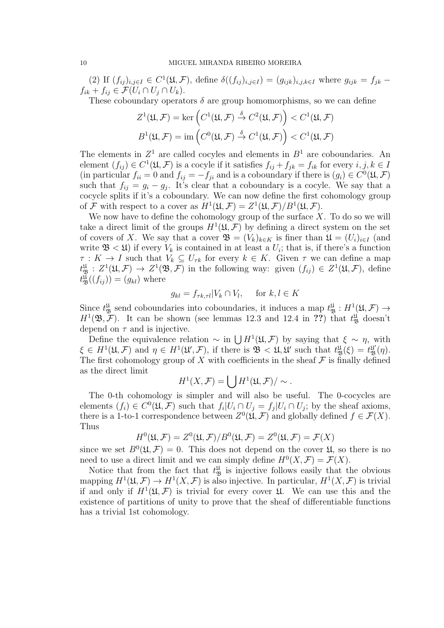(2) If  $(f_{ij})_{i,j\in I}\in C^1(\mathfrak{U},\mathcal{F})$ , define  $\delta((f_{ij})_{i,j\in I})=(g_{ijk})_{i,j,k\in I}$  where  $g_{ijk}=f_{jk}-1$  $f_{ik} + f_{ij} \in \mathcal{F}(U_i \cap U_j \cap U_k).$ 

These coboundary operators  $\delta$  are group homomorphisms, so we can define

$$
Z^1(\mathfrak{U}, \mathcal{F}) = \ker \left( C^1(\mathfrak{U}, \mathcal{F}) \stackrel{\delta}{\to} C^2(\mathfrak{U}, \mathcal{F}) \right) < C^1(\mathfrak{U}, \mathcal{F})
$$
\n
$$
B^1(\mathfrak{U}, \mathcal{F}) = \text{im} \left( C^0(\mathfrak{U}, \mathcal{F}) \stackrel{\delta}{\to} C^1(\mathfrak{U}, \mathcal{F}) \right) < C^1(\mathfrak{U}, \mathcal{F})
$$

The elements in  $Z^1$  are called cocyles and elements in  $B^1$  are coboundaries. An element  $(f_{ij}) \in C^1(\mathfrak{U}, \mathcal{F})$  is a cocyle if it satisfies  $f_{ij} + f_{jk} = f_{ik}$  for every  $i, j, k \in I$ (in particular  $f_{ii} = 0$  and  $f_{ij} = -f_{ji}$  and is a coboundary if there is  $(g_i) \in C^0(\mathfrak{U}, \mathcal{F})$ such that  $f_{ij} = g_i - g_j$ . It's clear that a coboundary is a cocyle. We say that a cocycle splits if it's a coboundary. We can now define the first cohomology group of F with respect to a cover as  $H^1(\mathfrak{U}, \mathcal{F}) = Z^1(\mathfrak{U}, \mathcal{F})/B^1(\mathfrak{U}, \mathcal{F}).$ 

We now have to define the cohomology group of the surface  $X$ . To do so we will take a direct limit of the groups  $H^1(\mathfrak{U}, \mathcal{F})$  by defining a direct system on the set of covers of X. We say that a cover  $\mathfrak{B} = (V_k)_{k \in K}$  is finer than  $\mathfrak{U} = (U_i)_{i \in I}$  (and write  $\mathfrak{B} \langle \mathfrak{U} \rangle$  if every  $V_k$  is contained in at least a  $U_i$ ; that is, if there's a function  $\tau: K \to I$  such that  $V_k \subseteq U_{\tau k}$  for every  $k \in K$ . Given  $\tau$  we can define a map  $t_{\mathfrak{B}}^{\mathfrak{U}}:Z^1(\mathfrak{U},\mathcal{F})\to Z^1(\mathfrak{B},\mathcal{F})$  in the following way: given  $(f_{ij})\in Z^1(\mathfrak{U},\mathcal{F}),$  define  $t_{\mathfrak{B}}^{\mathfrak{U}}((f_{ij}))=(g_{kl})$  where

$$
g_{kl} = f_{\tau k, \tau l} |V_k \cap V_l, \quad \text{for } k, l \in K
$$

Since  $t_{\mathfrak{B}}^{\mathfrak{U}}$  send coboundaries into coboundaries, it induces a map  $t_{\mathfrak{B}}^{\mathfrak{U}} : H^1(\mathfrak{U}, \mathcal{F}) \to$  $H^1(\mathfrak{B}, \mathcal{F})$ . It can be shown (see lemmas 12.3 and 12.4 in ??) that  $t_{\mathfrak{B}}^{\mathfrak{U}}$  doesn't depend on  $\tau$  and is injective.

Define the equivalence relation  $\sim$  in  $\bigcup H^1(\mathfrak{U}, \mathcal{F})$  by saying that  $\xi \sim \eta$ , with  $\xi \in H^1(\mathfrak{U}, \mathcal{F})$  and  $\eta \in H^1(\mathfrak{U}', \mathcal{F})$ , if there is  $\mathfrak{B} \langle \mathfrak{U}, \mathfrak{U}' \rangle$  such that  $t^{\mathfrak{U}}_{\mathfrak{B}}(\xi) = t^{\mathfrak{U}}_{\mathfrak{B}}(\eta)$ . The first cohomology group of X with coefficients in the sheaf  $\mathcal F$  is finally defined as the direct limit

$$
H^1(X,\mathcal{F})=\bigcup H^1(\mathfrak{U},\mathcal{F})/\sim.
$$

The 0-th cohomology is simpler and will also be useful. The 0-cocycles are elements  $(f_i) \in C^0(\mathfrak{U}, \mathcal{F})$  such that  $f_i | U_i \cap U_j = f_j | U_i \cap U_j$ ; by the sheaf axioms, there is a 1-to-1 correspondence between  $Z^0(\mathfrak{U}, \mathcal{F})$  and globally defined  $f \in \mathcal{F}(X)$ . Thus

$$
H^{0}(\mathfrak{U},\mathcal{F})=Z^{0}(\mathfrak{U},\mathcal{F})/B^{0}(\mathfrak{U},\mathcal{F})=Z^{0}(\mathfrak{U},\mathcal{F})=\mathcal{F}(X)
$$

since we set  $B^0(\mathfrak{U}, \mathcal{F}) = 0$ . This does not depend on the cover  $\mathfrak{U}$ , so there is no need to use a direct limit and we can simply define  $H^0(X, \mathcal{F}) = \mathcal{F}(X)$ .

Notice that from the fact that  $t_{\mathfrak{B}}^{\mathfrak{U}}$  is injective follows easily that the obvious mapping  $H^1(\mathfrak{U}, \mathcal{F}) \to H^1(X, \mathcal{F})$  is also injective. In particular,  $H^1(X, \mathcal{F})$  is trivial if and only if  $H^1(\mathfrak{U}, \mathcal{F})$  is trivial for every cover  $\mathfrak{U}$ . We can use this and the existence of partitions of unity to prove that the sheaf of differentiable functions has a trivial 1st cohomology.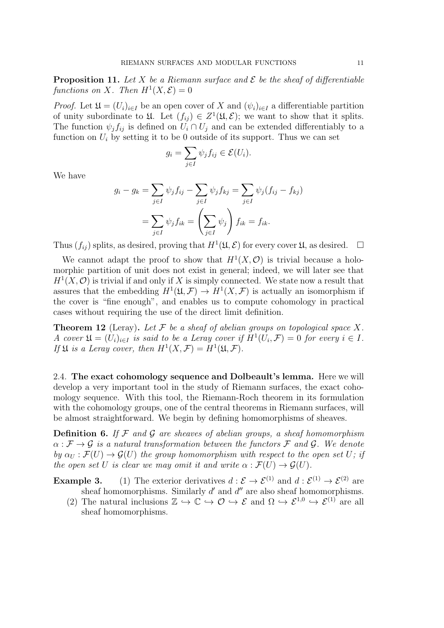**Proposition 11.** Let X be a Riemann surface and  $\mathcal E$  be the sheaf of differentiable functions on X. Then  $H^1(X, \mathcal{E}) = 0$ 

*Proof.* Let  $\mathfrak{U} = (U_i)_{i \in I}$  be an open cover of X and  $(\psi_i)_{i \in I}$  a differentiable partition of unity subordinate to  $\mathfrak{U}$ . Let  $(f_{ij}) \in Z^1(\mathfrak{U}, \mathcal{E})$ ; we want to show that it splits. The function  $\psi_j f_{ij}$  is defined on  $U_i \cap U_j$  and can be extended differentiably to a function on  $U_i$  by setting it to be 0 outside of its support. Thus we can set

$$
g_i = \sum_{j \in I} \psi_j f_{ij} \in \mathcal{E}(U_i).
$$

We have

$$
g_i - g_k = \sum_{j \in I} \psi_j f_{ij} - \sum_{j \in I} \psi_j f_{kj} = \sum_{j \in I} \psi_j (f_{ij} - f_{kj})
$$

$$
= \sum_{j \in I} \psi_j f_{ik} = \left(\sum_{j \in I} \psi_j\right) f_{ik} = f_{ik}.
$$

Thus  $(f_{ij})$  splits, as desired, proving that  $H^1(\mathfrak{U}, \mathcal{E})$  for every cover  $\mathfrak{U}$ , as desired.  $\Box$ 

We cannot adapt the proof to show that  $H^1(X, \mathcal{O})$  is trivial because a holomorphic partition of unit does not exist in general; indeed, we will later see that  $H<sup>1</sup>(X, \mathcal{O})$  is trivial if and only if X is simply connected. We state now a result that assures that the embedding  $H^1(\mathfrak{U}, \mathcal{F}) \to H^1(X, \mathcal{F})$  is actually an isomorphism if the cover is "fine enough", and enables us to compute cohomology in practical cases without requiring the use of the direct limit definition.

**Theorem 12** (Leray). Let F be a sheaf of abelian groups on topological space X. A cover  $\mathfrak{U} = (U_i)_{i \in I}$  is said to be a Leray cover if  $H^1(U_i, \mathcal{F}) = 0$  for every  $i \in I$ . If  $\mathfrak U$  is a Leray cover, then  $H^1(X,\mathcal F)=H^1(\mathfrak U,\mathcal F)$ .

<span id="page-10-0"></span>2.4. The exact cohomology sequence and Dolbeault's lemma. Here we will develop a very important tool in the study of Riemann surfaces, the exact cohomology sequence. With this tool, the Riemann-Roch theorem in its formulation with the cohomology groups, one of the central theorems in Riemann surfaces, will be almost straightforward. We begin by defining homomorphisms of sheaves.

**Definition 6.** If  $\mathcal F$  and  $\mathcal G$  are sheaves of abelian groups, a sheaf homomorphism  $\alpha : \mathcal{F} \to \mathcal{G}$  is a natural transformation between the functors  $\mathcal{F}$  and  $\mathcal{G}$ . We denote by  $\alpha_U : \mathcal{F}(U) \to \mathcal{G}(U)$  the group homomorphism with respect to the open set U; if the open set U is clear we may omit it and write  $\alpha : \mathcal{F}(U) \to \mathcal{G}(U)$ .

**Example 3.** (1) The exterior derivatives  $d : \mathcal{E} \to \mathcal{E}^{(1)}$  and  $d : \mathcal{E}^{(1)} \to \mathcal{E}^{(2)}$  are sheaf homomorphisms. Similarly  $d'$  and  $d''$  are also sheaf homomorphisms.

(2) The natural inclusions  $\mathbb{Z} \hookrightarrow \mathbb{C} \hookrightarrow \mathcal{O} \hookrightarrow \mathcal{E}$  and  $\Omega \hookrightarrow \mathcal{E}^{1,0} \hookrightarrow \mathcal{E}^{(1)}$  are all sheaf homomorphisms.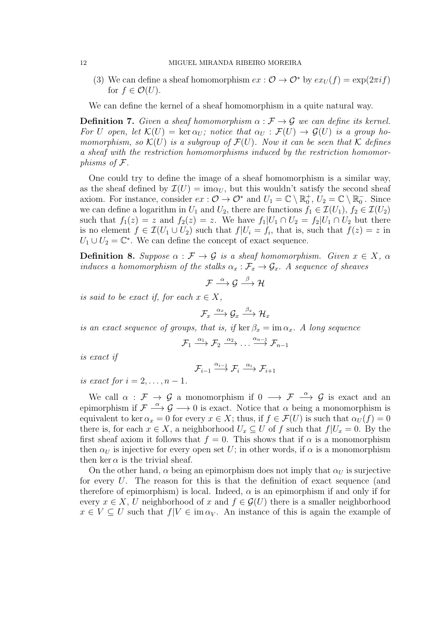#### 12 MIGUEL MIRANDA RIBEIRO MOREIRA

(3) We can define a sheaf homomorphism  $ex: \mathcal{O} \to \mathcal{O}^*$  by  $ex_U(f) = \exp(2\pi i f)$ for  $f \in \mathcal{O}(U)$ .

We can define the kernel of a sheaf homomorphism in a quite natural way.

**Definition 7.** Given a sheaf homomorphism  $\alpha : \mathcal{F} \to \mathcal{G}$  we can define its kernel. For U open, let  $\mathcal{K}(U) = \ker \alpha_U$ ; notice that  $\alpha_U : \mathcal{F}(U) \to \mathcal{G}(U)$  is a group homomorphism, so  $\mathcal{K}(U)$  is a subgroup of  $\mathcal{F}(U)$ . Now it can be seen that K defines a sheaf with the restriction homomorphisms induced by the restriction homomorphisms of F.

One could try to define the image of a sheaf homomorphism is a similar way, as the sheaf defined by  $\mathcal{I}(U) = \text{im}\alpha_U$ , but this wouldn't satisfy the second sheaf axiom. For instance, consider  $ex: \mathcal{O} \to \mathcal{O}^*$  and  $U_1 = \mathbb{C} \setminus \mathbb{R}_0^+$ ,  $U_2 = \mathbb{C} \setminus \mathbb{R}_0^-$ . Since we can define a logarithm in  $U_1$  and  $U_2$ , there are functions  $f_1 \in \mathcal{I}(U_1)$ ,  $f_2 \in \mathcal{I}(U_2)$ such that  $f_1(z) = z$  and  $f_2(z) = z$ . We have  $f_1|U_1 \cap U_2 = f_2|U_1 \cap U_2$  but there is no element  $f \in \mathcal{I}(U_1 \cup U_2)$  such that  $f|U_i = f_i$ , that is, such that  $f(z) = z$  in  $U_1 \cup U_2 = \mathbb{C}^*$ . We can define the concept of exact sequence.

**Definition 8.** Suppose  $\alpha : \mathcal{F} \to \mathcal{G}$  is a sheaf homomorphism. Given  $x \in X$ ,  $\alpha$ induces a homomorphism of the stalks  $\alpha_x : \mathcal{F}_x \to \mathcal{G}_x$ . A sequence of sheaves

$$
\mathcal{F} \stackrel{\alpha}{\longrightarrow} \mathcal{G} \stackrel{\beta}{\longrightarrow} \mathcal{H}
$$

is said to be exact if, for each  $x \in X$ ,

$$
\mathcal{F}_x \stackrel{\alpha_x}{\longrightarrow} \mathcal{G}_x \stackrel{\beta_x}{\longrightarrow} \mathcal{H}_x
$$

is an exact sequence of groups, that is, if ker  $\beta_x = \text{im } \alpha_x$ . A long sequence

$$
\mathcal{F}_1 \xrightarrow{\alpha_1} \mathcal{F}_2 \xrightarrow{\alpha_2} \dots \xrightarrow{\alpha_{n-1}} \mathcal{F}_{n-1}
$$

is exact if

$$
\mathcal{F}_{i-1} \xrightarrow{\alpha_{i-1}} \mathcal{F}_i \xrightarrow{\alpha_i} \mathcal{F}_{i+1}
$$

is exact for  $i = 2, \ldots, n - 1$ .

We call  $\alpha$  :  $\mathcal{F} \to \mathcal{G}$  a monomorphism if  $0 \to \mathcal{F} \stackrel{\alpha}{\to} \mathcal{G}$  is exact and an epimorphism if  $\mathcal{F} \stackrel{\alpha}{\longrightarrow} \mathcal{G} \longrightarrow 0$  is exact. Notice that  $\alpha$  being a monomorphism is equivalent to ker  $\alpha_x = 0$  for every  $x \in X$ ; thus, if  $f \in \mathcal{F}(U)$  is such that  $\alpha_U(f) = 0$ there is, for each  $x \in X$ , a neighborhood  $U_x \subseteq U$  of f such that  $f|U_x = 0$ . By the first sheaf axiom it follows that  $f = 0$ . This shows that if  $\alpha$  is a monomorphism then  $\alpha_U$  is injective for every open set U; in other words, if  $\alpha$  is a monomorphism then ker  $\alpha$  is the trivial sheaf.

On the other hand,  $\alpha$  being an epimorphism does not imply that  $\alpha_U$  is surjective for every U. The reason for this is that the definition of exact sequence (and therefore of epimorphism) is local. Indeed,  $\alpha$  is an epimorphism if and only if for every  $x \in X$ , U neighborhood of x and  $f \in \mathcal{G}(U)$  there is a smaller neighborhood  $x \in V \subseteq U$  such that  $f|V \in \text{im } \alpha_V$ . An instance of this is again the example of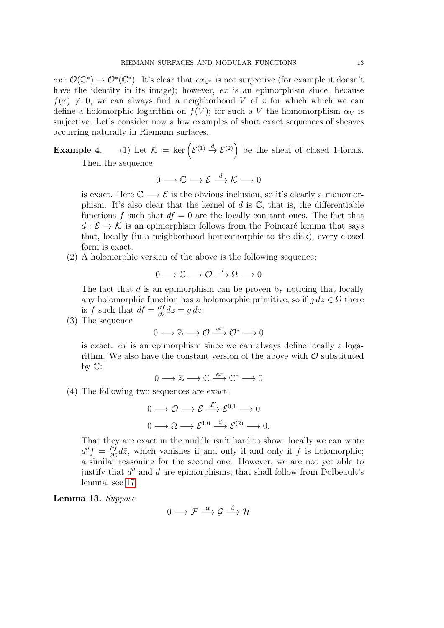$ex: \mathcal{O}(\mathbb{C}^*) \to \mathcal{O}^*(\mathbb{C}^*)$ . It's clear that  $ex_{\mathbb{C}^*}$  is not surjective (for example it doesn't have the identity in its image); however, ex is an epimorphism since, because  $f(x) \neq 0$ , we can always find a neighborhood V of x for which which we can define a holomorphic logarithm on  $f(V)$ ; for such a V the homomorphism  $\alpha_V$  is surjective. Let's consider now a few examples of short exact sequences of sheaves occurring naturally in Riemann surfaces.

**Example 4.** (1) Let  $\mathcal{K} = \ker \left( \mathcal{E}^{(1)} \stackrel{d}{\to} \mathcal{E}^{(2)} \right)$  be the sheaf of closed 1-forms. Then the sequence

 $0 \longrightarrow \mathbb{C} \longrightarrow \mathcal{E} \stackrel{d}{\longrightarrow} \mathcal{K} \longrightarrow 0$ 

is exact. Here  $\mathbb{C} \longrightarrow \mathcal{E}$  is the obvious inclusion, so it's clearly a monomorphism. It's also clear that the kernel of  $d$  is  $\mathbb{C}$ , that is, the differentiable functions f such that  $df = 0$  are the locally constant ones. The fact that  $d : \mathcal{E} \to \mathcal{K}$  is an epimorphism follows from the Poincaré lemma that says that, locally (in a neighborhood homeomorphic to the disk), every closed form is exact.

(2) A holomorphic version of the above is the following sequence:

$$
0 \longrightarrow \mathbb{C} \longrightarrow \mathcal{O} \stackrel{d}{\longrightarrow} \Omega \longrightarrow 0
$$

The fact that  $d$  is an epimorphism can be proven by noticing that locally any holomorphic function has a holomorphic primitive, so if  $g dz \in \Omega$  there is f such that  $df = \frac{\partial f}{\partial z} dz = g dz$ .

(3) The sequence

$$
0 \longrightarrow \mathbb{Z} \longrightarrow \mathcal{O} \stackrel{ex}{\longrightarrow} \mathcal{O}^* \longrightarrow 0
$$

is exact. ex is an epimorphism since we can always define locally a logarithm. We also have the constant version of the above with  $\mathcal O$  substituted by  $\mathbb{C}$ :

$$
0\longrightarrow \mathbb{Z}\longrightarrow \mathbb{C}\stackrel{ex}{\longrightarrow} \mathbb{C}^*\longrightarrow 0
$$

<span id="page-12-1"></span>(4) The following two sequences are exact:

$$
0 \longrightarrow \mathcal{O} \longrightarrow \mathcal{E} \xrightarrow{d''} \mathcal{E}^{0,1} \longrightarrow 0
$$

$$
0 \longrightarrow \Omega \longrightarrow \mathcal{E}^{1,0} \xrightarrow{d} \mathcal{E}^{(2)} \longrightarrow 0.
$$

That they are exact in the middle isn't hard to show: locally we can write  $d''f = \frac{\partial f}{\partial \overline{z}}$  $\frac{\partial f}{\partial \bar{z}}d\bar{z}$ , which vanishes if and only if and only if f is holomorphic; a similar reasoning for the second one. However, we are not yet able to justify that  $d''$  and  $d$  are epimorphisms; that shall follow from Dolbeault's lemma, see [17.](#page-14-0)

<span id="page-12-0"></span>Lemma 13. Suppose

$$
0 \longrightarrow \mathcal{F} \stackrel{\alpha}{\longrightarrow} \mathcal{G} \stackrel{\beta}{\longrightarrow} \mathcal{H}
$$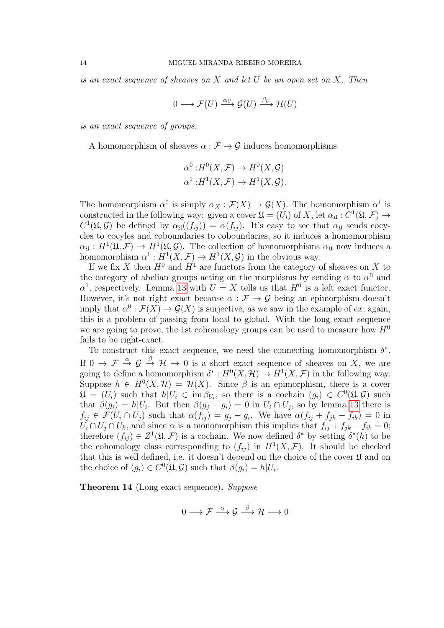is an exact sequence of sheaves on  $X$  and let  $U$  be an open set on  $X$ . Then

$$
0 \longrightarrow \mathcal{F}(U) \xrightarrow{\alpha_U} \mathcal{G}(U) \xrightarrow{\beta_U} \mathcal{H}(U)
$$

is an exact sequence of groups.

A homomorphism of sheaves  $\alpha : \mathcal{F} \to \mathcal{G}$  induces homomorphisms

$$
\alpha^{0}:H^{0}(X,\mathcal{F}) \to H^{0}(X,\mathcal{G})
$$
  

$$
\alpha^{1}:H^{1}(X,\mathcal{F}) \to H^{1}(X,\mathcal{G}).
$$

The homomorphism  $\alpha^0$  is simply  $\alpha_X : \mathcal{F}(X) \to \mathcal{G}(X)$ . The homomorphism  $\alpha^1$  is constructed in the following way: given a cover  $\mathfrak{U} = (U_i)$  of X, let  $\alpha_{\mathfrak{U}} : C^1(\mathfrak{U}, \mathcal{F}) \to$  $C^1(\mathfrak{U}, \mathcal{G})$  be defined by  $\alpha_{\mathfrak{U}}((f_{ij})) = \alpha(f_{ij})$ . It's easy to see that  $\alpha_{\mathfrak{U}}$  sends cocycles to cocyles and coboundaries to coboundaries, so it induces a homomorphism  $\alpha_{\mathfrak{U}}: H^1(\mathfrak{U}, \mathcal{F}) \to H^1(\mathfrak{U}, \mathcal{G})$ . The collection of homomorphisms  $\alpha_{\mathfrak{U}}$  now induces a homomorphism  $\alpha^1: H^1(X, \mathcal{F}) \to H^1(X, \mathcal{G})$  in the obvious way.

If we fix X then  $H^0$  and  $H^1$  are functors from the category of sheaves on X to the category of abelian groups acting on the morphisms by sending  $\alpha$  to  $\alpha^0$  and  $\alpha^1$ , respectively. Lemma [13](#page-12-0) with  $U = X$  tells us that  $H^0$  is a left exact functor. However, it's not right exact because  $\alpha : \mathcal{F} \to \mathcal{G}$  being an epimorphism doesn't imply that  $\alpha^0$ :  $\mathcal{F}(X) \to \mathcal{G}(X)$  is surjective, as we saw in the example of ex; again, this is a problem of passing from local to global. With the long exact sequence we are going to prove, the 1st cohomology groups can be used to measure how  $H^0$ fails to be right-exact.

To construct this exact sequence, we need the connecting homomorphism  $\delta^*$ . If  $0 \to \mathcal{F} \stackrel{\alpha}{\to} \mathcal{G} \stackrel{\beta}{\to} \mathcal{H} \to 0$  is a short exact sequence of sheaves on X, we are going to define a homomorphism  $\delta^*: H^0(X, \mathcal{H}) \to H^1(X, \mathcal{F})$  in the following way. Suppose  $h \in H^0(X, \mathcal{H}) = \mathcal{H}(X)$ . Since  $\beta$  is an epimorphism, there is a cover  $\mathfrak{U} = (U_i)$  such that  $h|U_i \in \text{im } \beta_{U_i}$ , so there is a cochain  $(g_i) \in C^0(\mathfrak{U}, \mathcal{G})$  such that  $\beta(g_i) = h|U_i$ . But then  $\beta(g_j - g_i) = 0$  in  $U_i \cap U_j$ , so by lemma [13](#page-12-0) there is  $f_{ij} \in \mathcal{F}(U_i \cap U_j)$  such that  $\alpha(f_{ij}) = g_j - g_i$ . We have  $\alpha(f_{ij} + f_{jk} - f_{ik}) = 0$  in  $U_i \cap U_j \cap U_k$ , and since  $\alpha$  is a monomorphism this implies that  $f_{ij} + f_{jk} - f_{ik} = 0$ ; therefore  $(f_{ij}) \in Z^1(\mathfrak{U}, \mathcal{F})$  is a cochain. We now defined  $\delta^*$  by setting  $\delta^*(h)$  to be the cohomology class corresponding to  $(f_{ij})$  in  $H^1(X,\mathcal{F})$ . It should be checked that this is well defined, i.e. it doesn't depend on the choice of the cover  $\mathfrak U$  and on the choice of  $(g_i) \in C^0(\mathfrak{U}, \mathcal{G})$  such that  $\beta(g_i) = h|U_i$ .

Theorem 14 (Long exact sequence). Suppose

$$
0 \longrightarrow \mathcal{F} \stackrel{\alpha}{\longrightarrow} \mathcal{G} \stackrel{\beta}{\longrightarrow} \mathcal{H} \longrightarrow 0
$$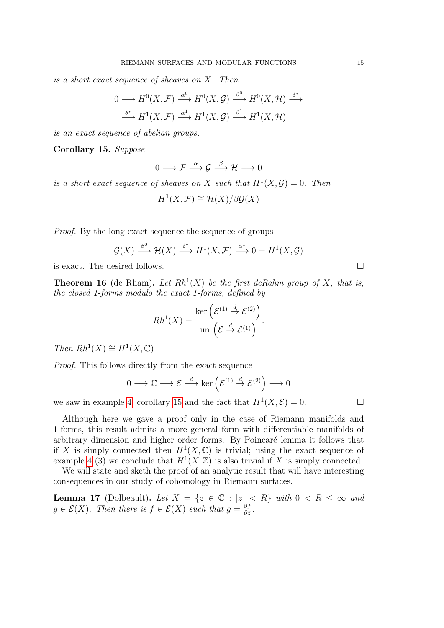is a short exact sequence of sheaves on X. Then

$$
0 \longrightarrow H^{0}(X, \mathcal{F}) \xrightarrow{\alpha^{0}} H^{0}(X, \mathcal{G}) \xrightarrow{\beta^{0}} H^{0}(X, \mathcal{H}) \xrightarrow{\delta^{*}}
$$

$$
\xrightarrow{\delta^{*}} H^{1}(X, \mathcal{F}) \xrightarrow{\alpha^{1}} H^{1}(X, \mathcal{G}) \xrightarrow{\beta^{1}} H^{1}(X, \mathcal{H})
$$

is an exact sequence of abelian groups.

<span id="page-14-1"></span>Corollary 15. Suppose

$$
0 \longrightarrow \mathcal{F} \stackrel{\alpha}{\longrightarrow} \mathcal{G} \stackrel{\beta}{\longrightarrow} \mathcal{H} \longrightarrow 0
$$

is a short exact sequence of sheaves on X such that  $H^1(X, \mathcal{G}) = 0$ . Then

 $H^1(X,\mathcal{F}) \cong \mathcal{H}(X)/\beta \mathcal{G}(X)$ 

Proof. By the long exact sequence the sequence of groups

$$
\mathcal{G}(X) \xrightarrow{\beta^0} \mathcal{H}(X) \xrightarrow{\delta^*} H^1(X,\mathcal{F}) \xrightarrow{\alpha^1} 0 = H^1(X,\mathcal{G})
$$

is exact. The desired follows.

**Theorem 16** (de Rham). Let  $Rh<sup>1</sup>(X)$  be the first deRahm group of X, that is, the closed 1-forms modulo the exact 1-forms, defined by

$$
Rh^{1}(X) = \frac{\ker\left(\mathcal{E}^{(1)} \stackrel{d}{\to} \mathcal{E}^{(2)}\right)}{\mathrm{im}\left(\mathcal{E} \stackrel{d}{\to} \mathcal{E}^{(1)}\right)}.
$$

Then  $Rh^1(X) \cong H^1(X, \mathbb{C})$ 

Proof. This follows directly from the exact sequence

$$
0 \longrightarrow \mathbb{C} \longrightarrow \mathcal{E} \stackrel{d}{\longrightarrow} \ker \left( \mathcal{E}^{(1)} \stackrel{d}{\rightarrow} \mathcal{E}^{(2)} \right) \longrightarrow 0
$$

we saw in example [4,](#page-12-1) corollary [15](#page-14-1) and the fact that  $H^1(X, \mathcal{E}) = 0$ .

Although here we gave a proof only in the case of Riemann manifolds and 1-forms, this result admits a more general form with differentiable manifolds of arbitrary dimension and higher order forms. By Poincaré lemma it follows that if X is simply connected then  $H^1(X,\mathbb{C})$  is trivial; using the exact sequence of example [4](#page-12-1) (3) we conclude that  $H^1(X,\mathbb{Z})$  is also trivial if X is simply connected.

We will state and sketh the proof of an analytic result that will have interesting consequences in our study of cohomology in Riemann surfaces.

<span id="page-14-0"></span>**Lemma 17** (Dolbeault). Let  $X = \{z \in \mathbb{C} : |z| < R\}$  with  $0 < R \leq \infty$  and  $g \in \mathcal{E}(X)$ . Then there is  $f \in \mathcal{E}(X)$  such that  $g = \frac{\partial f}{\partial \tilde{s}}$  $\frac{\partial f}{\partial \bar{z}}$  .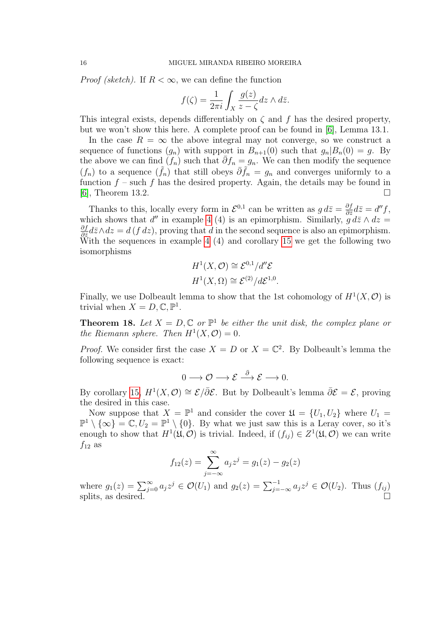*Proof (sketch)*. If  $R < \infty$ , we can define the function

$$
f(\zeta) = \frac{1}{2\pi i} \int_X \frac{g(z)}{z - \zeta} dz \wedge d\overline{z}.
$$

This integral exists, depends differentiably on  $\zeta$  and f has the desired property, but we won't show this here. A complete proof can be found in [\[6\]](#page-40-1), Lemma 13.1.

In the case  $R = \infty$  the above integral may not converge, so we construct a sequence of functions  $(g_n)$  with support in  $B_{n+1}(0)$  such that  $g_n|B_n(0) = g$ . By the above we can find  $(f_n)$  such that  $\bar{\partial}f_n = g_n$ . We can then modify the sequence  $(f_n)$  to a sequence  $(\tilde{f}_n)$  that still obeys  $\bar{\partial}\tilde{f}_n = g_n$  and converges uniformly to a function  $f$  – such f has the desired property. Again, the details may be found in [\[6\]](#page-40-1), Theorem 13.2.

Thanks to this, locally every form in  $\mathcal{E}^{0,1}$  can be written as  $g d\bar{z} = \frac{\partial f}{\partial \bar{z}}$  $\frac{\partial f}{\partial \bar{z}}d\bar{z}=d''f,$ which shows that d'' in example [4](#page-12-1) (4) is an epimorphism. Similarly,  $\tilde{g} d\bar{z} \wedge dz =$ ∂f  $\frac{\partial f}{\partial \bar{z}}d\bar{z}\wedge dz=d(f\,dz)$ , proving that d in the second sequence is also an epimorphism. With the sequences in example [4](#page-12-1) (4) and corollary [15](#page-14-1) we get the following two isomorphisms

$$
H^1(X, \mathcal{O}) \cong \mathcal{E}^{0,1}/d''\mathcal{E}
$$
  

$$
H^1(X, \Omega) \cong \mathcal{E}^{(2)}/d\mathcal{E}^{1,0}.
$$

Finally, we use Dolbeault lemma to show that the 1st cohomology of  $H^1(X, \mathcal{O})$  is trivial when  $X = D, \mathbb{C}, \mathbb{P}^1$ .

**Theorem 18.** Let  $X = D$ ,  $\mathbb{C}$  or  $\mathbb{P}^1$  be either the unit disk, the complex plane or the Riemann sphere. Then  $H^1(X, \mathcal{O}) = 0$ .

*Proof.* We consider first the case  $X = D$  or  $X = \mathbb{C}^2$ . By Dolbeault's lemma the following sequence is exact:

$$
0 \longrightarrow \mathcal{O} \longrightarrow \mathcal{E} \stackrel{\bar{\partial}}{\longrightarrow} \mathcal{E} \longrightarrow 0.
$$

By corollary [15,](#page-14-1)  $H^1(X, \mathcal{O}) \cong \mathcal{E}/\overline{\partial}\mathcal{E}$ . But by Dolbeault's lemma  $\overline{\partial}\mathcal{E} = \mathcal{E}$ , proving the desired in this case.

Now suppose that  $X = \mathbb{P}^1$  and consider the cover  $\mathfrak{U} = \{U_1, U_2\}$  where  $U_1 =$  $\mathbb{P}^1 \setminus {\infty} = \mathbb{C}, U_2 = \mathbb{P}^1 \setminus {0}.$  By what we just saw this is a Leray cover, so it's enough to show that  $H^1(\mathfrak{U}, \mathcal{O})$  is trivial. Indeed, if  $(f_{ij}) \in Z^1(\mathfrak{U}, \mathcal{O})$  we can write  $f_{12}$  as

$$
f_{12}(z) = \sum_{j=-\infty}^{\infty} a_j z^j = g_1(z) - g_2(z)
$$

where  $g_1(z) = \sum_{j=0}^{\infty} a_j z^j \in \mathcal{O}(U_1)$  and  $g_2(z) = \sum_{j=-\infty}^{-1} a_j z^j \in \mathcal{O}(U_2)$ . Thus  $(f_{ij})$ splits, as desired.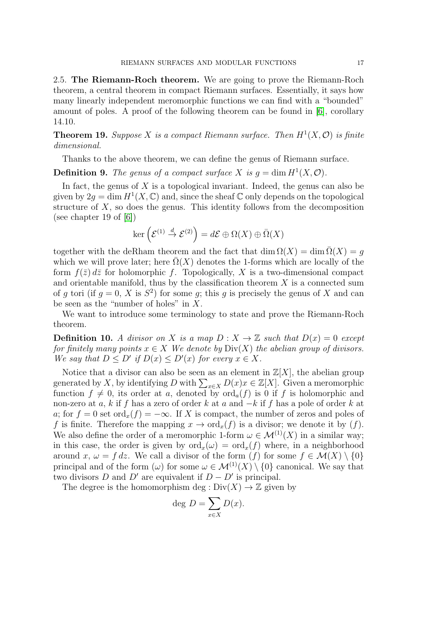<span id="page-16-0"></span>2.5. The Riemann-Roch theorem. We are going to prove the Riemann-Roch theorem, a central theorem in compact Riemann surfaces. Essentially, it says how many linearly independent meromorphic functions we can find with a "bounded" amount of poles. A proof of the following theorem can be found in [\[6\]](#page-40-1), corollary 14.10.

**Theorem 19.** Suppose X is a compact Riemann surface. Then  $H^1(X, \mathcal{O})$  is finite dimensional.

Thanks to the above theorem, we can define the genus of Riemann surface.

**Definition 9.** The genus of a compact surface X is  $g = \dim H^1(X, \mathcal{O})$ .

In fact, the genus of  $X$  is a topological invariant. Indeed, the genus can also be given by  $2g = \dim H^1(X, \mathbb{C})$  and, since the sheaf  $\mathbb C$  only depends on the topological structure of  $X$ , so does the genus. This identity follows from the decomposition (see chapter 19 of  $[6]$ )

$$
\ker\left(\mathcal{E}^{(1)}\overset{d}{\to}\mathcal{E}^{(2)}\right)=d\mathcal{E}\oplus\Omega(X)\oplus\bar{\Omega}(X)
$$

together with the deRham theorem and the fact that  $\dim \Omega(X) = \dim \overline{\Omega}(X) = q$ which we will prove later; here  $\Omega(X)$  denotes the 1-forms which are locally of the form  $f(\bar{z}) d\bar{z}$  for holomorphic f. Topologically, X is a two-dimensional compact and orientable manifold, thus by the classification theorem  $X$  is a connected sum of g tori (if  $g = 0$ , X is  $S^2$ ) for some g; this g is precisely the genus of X and can be seen as the "number of holes" in  $X$ .

We want to introduce some terminology to state and prove the Riemann-Roch theorem.

**Definition 10.** A divisor on X is a map  $D: X \to \mathbb{Z}$  such that  $D(x) = 0$  except for finitely many points  $x \in X$  We denote by  $Div(X)$  the abelian group of divisors. We say that  $D \le D'$  if  $D(x) \le D'(x)$  for every  $x \in X$ .

Notice that a divisor can also be seen as an element in  $\mathbb{Z}[X]$ , the abelian group generated by X, by identifying D with  $\sum_{x \in X} D(x)x \in \mathbb{Z}[X]$ . Given a meromorphic function  $f \neq 0$ , its order at a, denoted by  $\text{ord}_a(f)$  is 0 if f is holomorphic and non-zero at a, k if f has a zero of order k at a and  $-k$  if f has a pole of order k at a; for  $f = 0$  set ord<sub>x</sub> $(f) = -\infty$ . If X is compact, the number of zeros and poles of f is finite. Therefore the mapping  $x \to \text{ord}_x(f)$  is a divisor; we denote it by  $(f)$ . We also define the order of a meromorphic 1-form  $\omega \in \mathcal{M}^{(1)}(X)$  in a similar way; in this case, the order is given by  $\text{ord}_{x}(\omega) = \text{ord}_{x}(f)$  where, in a neighborhood around x,  $\omega = f dz$ . We call a divisor of the form  $(f)$  for some  $f \in \mathcal{M}(X) \setminus \{0\}$ principal and of the form  $(\omega)$  for some  $\omega \in \mathcal{M}^{(1)}(X) \setminus \{0\}$  canonical. We say that two divisors D and D' are equivalent if  $D - D'$  is principal.

The degree is the homomorphism deg :  $Div(X) \to \mathbb{Z}$  given by

$$
\deg D = \sum_{x \in X} D(x).
$$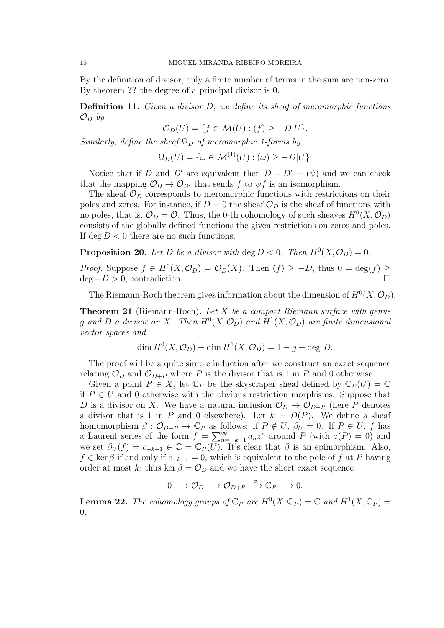By the definition of divisor, only a finite number of terms in the sum are non-zero. By theorem ?? the degree of a principal divisor is 0.

**Definition 11.** Given a divisor D, we define its sheaf of meromorphic functions  $\mathcal{O}_D$  by

$$
\mathcal{O}_D(U) = \{ f \in \mathcal{M}(U) : (f) \ge -D|U \}.
$$

Similarly, define the sheaf  $\Omega_D$  of meromorphic 1-forms by

 $\Omega_D(U) = \{ \omega \in \mathcal{M}^{(1)}(U) : (\omega) \geq -D|U \}.$ 

Notice that if D and D' are equivalent then  $D - D' = (\psi)$  and we can check that the mapping  $\mathcal{O}_D \to \mathcal{O}_{D'}$  that sends f to  $\psi f$  is an isomorphism.

The sheaf  $\mathcal{O}_D$  corresponds to meromorphic functions with restrictions on their poles and zeros. For instance, if  $D = 0$  the sheaf  $\mathcal{O}_D$  is the sheaf of functions with no poles, that is,  $\mathcal{O}_D = \mathcal{O}$ . Thus, the 0-th cohomology of such sheaves  $H^0(X, \mathcal{O}_D)$ consists of the globally defined functions the given restrictions on zeros and poles. If deg  $D < 0$  there are no such functions.

<span id="page-17-1"></span>**Proposition 20.** Let D be a divisor with  $\deg D < 0$ . Then  $H^0(X, \mathcal{O}_D) = 0$ .

*Proof.* Suppose  $f \in H^0(X, \mathcal{O}_D) = \mathcal{O}_D(X)$ . Then  $(f) \geq -D$ , thus  $0 = \deg(f) \geq$  $deg - D > 0$ , contradiction.

The Riemann-Roch theorem gives information about the dimension of  $H^0(X, \mathcal{O}_D)$ .

**Theorem 21** (Riemann-Roch). Let X be a compact Riemann surface with genus g and D a divisor on X. Then  $H^0(X, \mathcal{O}_D)$  and  $H^1(X, \mathcal{O}_D)$  are finite dimensional vector spaces and

$$
\dim H^0(X, \mathcal{O}_D) - \dim H^1(X, \mathcal{O}_D) = 1 - g + \deg D.
$$

The proof will be a quite simple induction after we construct an exact sequence relating  $\mathcal{O}_D$  and  $\mathcal{O}_{D+P}$  where P is the divisor that is 1 in P and 0 otherwise.

Given a point  $P \in X$ , let  $\mathbb{C}_P$  be the skyscraper sheaf defined by  $\mathbb{C}_P(U) = \mathbb{C}$ if  $P \in U$  and 0 otherwise with the obvious restriction morphisms. Suppose that D is a divisor on X. We have a natural inclusion  $\mathcal{O}_D \to \mathcal{O}_{D+P}$  (here P denotes a divisor that is 1 in P and 0 elsewhere). Let  $k = D(P)$ . We define a sheaf homomorphism  $\beta : \mathcal{O}_{D+P} \to \mathbb{C}_P$  as follows: if  $P \notin U$ ,  $\beta_U = 0$ . If  $P \in U$ , f has a Laurent series of the form  $f = \sum_{n=-k-1}^{\infty} a_n z^n$  around P (with  $z(P) = 0$ ) and we set  $\beta_U(f) = c_{-k-1} \in \mathbb{C} = \mathbb{C}_P(U)$ . It's clear that  $\beta$  is an epimorphism. Also,  $f \in \ker \beta$  if and only if  $c_{-k-1} = 0$ , which is equivalent to the pole of f at P having order at most k; thus ker  $\beta = \mathcal{O}_D$  and we have the short exact sequence

$$
0 \longrightarrow \mathcal{O}_D \longrightarrow \mathcal{O}_{D+P} \stackrel{\beta}{\longrightarrow} \mathbb{C}_P \longrightarrow 0.
$$

<span id="page-17-0"></span>**Lemma 22.** The cohomology groups of  $\mathbb{C}_P$  are  $H^0(X, \mathbb{C}_P) = \mathbb{C}$  and  $H^1(X, \mathbb{C}_P) =$ 0.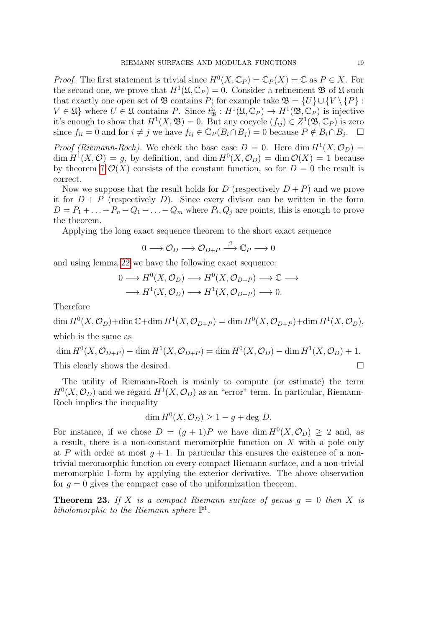*Proof.* The first statement is trivial since  $H^0(X, \mathbb{C}_P) = \mathbb{C}_P(X) = \mathbb{C}$  as  $P \in X$ . For the second one, we prove that  $H^1(\mathfrak{U}, \mathbb{C}_P) = 0$ . Consider a refinement  $\mathfrak{B}$  of  $\mathfrak{U}$  such that exactly one open set of  $\mathfrak{B}$  contains P; for example take  $\mathfrak{B} = \{U\} \cup \{V \setminus \{P\}$ :  $V \in \mathfrak{U}$  where  $U \in \mathfrak{U}$  contains P. Since  $t_{\mathfrak{B}}^{\mathfrak{U}} : H^1(\mathfrak{U}, \mathbb{C}_P) \to H^1(\mathfrak{B}, \mathbb{C}_P)$  is injective it's enough to show that  $H^1(X, \mathfrak{B}) = 0$ . But any cocycle  $(f_{ij}) \in Z^1(\mathfrak{B}, \mathbb{C}_P)$  is zero since  $f_{ii} = 0$  and for  $i \neq j$  we have  $f_{ij} \in \mathbb{C}_P(B_i \cap B_j) = 0$  because  $P \notin B_i \cap B_j$ .  $\Box$ 

*Proof (Riemann-Roch)*. We check the base case  $D = 0$ . Here dim  $H^1(X, \mathcal{O}_D) =$  $\dim H^1(X, \mathcal{O}) = g$ , by definition, and  $\dim H^0(X, \mathcal{O}_D) = \dim \mathcal{O}(X) = 1$  because by theorem [7](#page-4-1)  $\mathcal{O}(X)$  consists of the constant function, so for  $D = 0$  the result is correct.

Now we suppose that the result holds for D (respectively  $D + P$ ) and we prove it for  $D + P$  (respectively D). Since every divisor can be written in the form  $D = P_1 + \ldots + P_n - Q_1 - \ldots - Q_m$  where  $P_i, Q_j$  are points, this is enough to prove the theorem.

Applying the long exact sequence theorem to the short exact sequence

$$
0 \longrightarrow \mathcal{O}_D \longrightarrow \mathcal{O}_{D+P} \stackrel{\beta}{\longrightarrow} \mathbb{C}_P \longrightarrow 0
$$

and using lemma [22](#page-17-0) we have the following exact sequence:

$$
0 \longrightarrow H^0(X, \mathcal{O}_D) \longrightarrow H^0(X, \mathcal{O}_{D+P}) \longrightarrow \mathbb{C} \longrightarrow
$$
  

$$
\longrightarrow H^1(X, \mathcal{O}_D) \longrightarrow H^1(X, \mathcal{O}_{D+P}) \longrightarrow 0.
$$

Therefore

 $\dim H^0(X,\mathcal{O}_D)+\dim \mathbb{C}+\dim H^1(X,\mathcal{O}_{D+P})=\dim H^0(X,\mathcal{O}_{D+P})+\dim H^1(X,\mathcal{O}_D),$ which is the same as

$$
\dim H^0(X, \mathcal{O}_{D+P}) - \dim H^1(X, \mathcal{O}_{D+P}) = \dim H^0(X, \mathcal{O}_D) - \dim H^1(X, \mathcal{O}_D) + 1.
$$
  
This clearly shows the desired.

The utility of Riemann-Roch is mainly to compute (or estimate) the term  $H^0(X, \mathcal{O}_D)$  and we regard  $H^1(X, \mathcal{O}_D)$  as an "error" term. In particular, Riemann-Roch implies the inequality

$$
\dim H^0(X, \mathcal{O}_D) \ge 1 - g + \deg D.
$$

For instance, if we chose  $D = (g + 1)P$  we have dim  $H^0(X, \mathcal{O}_D) \geq 2$  and, as a result, there is a non-constant meromorphic function on X with a pole only at P with order at most  $q + 1$ . In particular this ensures the existence of a nontrivial meromorphic function on every compact Riemann surface, and a non-trivial meromorphic 1-form by applying the exterior derivative. The above observation for  $g = 0$  gives the compact case of the uniformization theorem.

**Theorem 23.** If X is a compact Riemann surface of genus  $g = 0$  then X is biholomorphic to the Riemann sphere  $\mathbb{P}^1$ .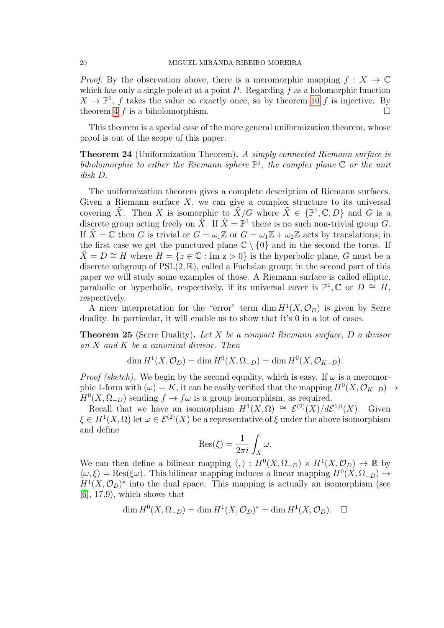*Proof.* By the observation above, there is a meromorphic mapping  $f: X \to \mathbb{C}$ which has only a single pole at at a point  $P$ . Regarding  $f$  as a holomorphic function  $X \to \mathbb{P}^1$ , f takes the value  $\infty$  exactly once, so by theorem [10](#page-6-0) f is injective. By theorem [4](#page-4-2) f is a biholomorphism.

This theorem is a special case of the more general uniformization theorem, whose proof is out of the scope of this paper.

Theorem 24 (Uniformization Theorem). A simply connected Riemann surface is biholomorphic to either the Riemann sphere  $\mathbb{P}^1$ , the complex plane  $\mathbb C$  or the unit disk D.

The uniformization theorem gives a complete description of Riemann surfaces. Given a Riemann surface  $X$ , we can give a complex structure to its universal covering  $\tilde{X}$ . Then X is isomorphic to  $\tilde{X}/G$  where  $\tilde{X} \in \{ \mathbb{P}^1, \mathbb{C}, D \}$  and G is a discrete group acting freely on  $\tilde{X}$ . If  $\tilde{X} = \mathbb{P}^1$  there is no such non-trivial group G. If  $\tilde{X} = \tilde{\mathbb{C}}$  then G is trivial or  $G = \omega_1 \mathbb{Z}$  or  $G = \omega_1 \mathbb{Z} + \omega_2 \mathbb{Z}$  acts by translations; in the first case we get the punctured plane  $\mathbb{C} \setminus \{0\}$  and in the second the torus. If  $\hat{X} = D \cong H$  where  $H = \{z \in \mathbb{C} : \text{Im } z > 0\}$  is the hyperbolic plane, G must be a discrete subgroup of  $PSL(2,\mathbb{R})$ , called a Fuchsian group; in the second part of this paper we will study some examples of those. A Riemann surface is called elliptic, parabolic or hyperbolic, respectively, if its universal cover is  $\mathbb{P}^1, \mathbb{C}$  or  $D \cong H$ , respectively.

A nicer interpretation for the "error" term  $\dim H^1(X, \mathcal{O}_D)$  is given by Serre duality. In particular, it will enable us to show that it's 0 in a lot of cases.

**Theorem 25** (Serre Duality). Let X be a compact Riemann surface, D a divisor on X and K be a canonical divisor. Then

 $\dim H^1(X, \mathcal{O}_D) = \dim H^0(X, \Omega_{-D}) = \dim H^0(X, \mathcal{O}_{K-D}).$ 

*Proof (sketch)*. We begin by the second equality, which is easy. If  $\omega$  is a meromorphic 1-form with  $(\omega) = K$ , it can be easily verified that the mapping  $H^0(X, \mathcal{O}_{K-D}) \to$  $H^0(X, \Omega_{-D})$  sending  $f \to f\omega$  is a group isomorphism, as required.

Recall that we have an isomorphism  $H^1(X, \Omega) \cong \mathcal{E}^{(2)}(X)/d\mathcal{E}^{1,0}(X)$ . Given  $\xi \in H^1(X, \Omega)$  let  $\omega \in \mathcal{E}^{(2)}(X)$  be a representative of  $\xi$  under the above isomorphism and define

$$
Res(\xi) = \frac{1}{2\pi i} \int_X \omega.
$$

We can then define a bilinear mapping  $\langle , \rangle : H^0(X, \Omega_{-D}) \times H^1(X, \mathcal{O}_D) \to \mathbb{R}$  by  $\langle \omega, \xi \rangle = \text{Res}(\xi \omega)$ . This bilinear mapping induces a linear mapping  $H^0(X, \Omega_{-D}) \to$  $H<sup>1</sup>(X, \mathcal{O}_D)^*$  into the dual space. This mapping is actually an isomorphism (see  $[6]$ , 17.9), which shows that

$$
\dim H^0(X, \Omega_{-D}) = \dim H^1(X, \mathcal{O}_D)^* = \dim H^1(X, \mathcal{O}_D). \quad \Box
$$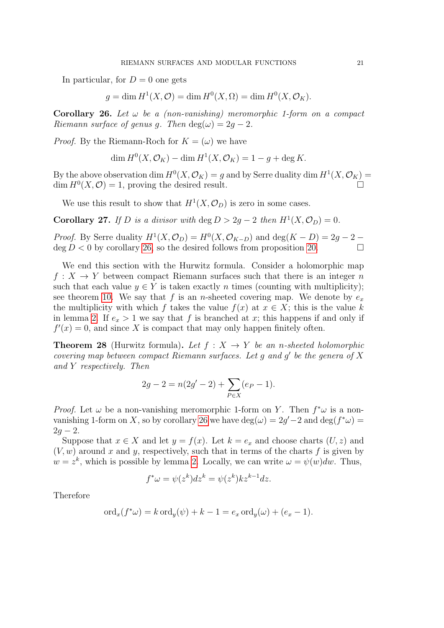In particular, for  $D=0$  one gets

$$
g = \dim H^1(X, \mathcal{O}) = \dim H^0(X, \Omega) = \dim H^0(X, \mathcal{O}_K).
$$

<span id="page-20-0"></span>Corollary 26. Let  $\omega$  be a (non-vanishing) meromorphic 1-form on a compact Riemann surface of genus q. Then  $\deg(\omega) = 2q - 2$ .

*Proof.* By the Riemann-Roch for  $K = (\omega)$  we have

$$
\dim H^0(X, \mathcal{O}_K) - \dim H^1(X, \mathcal{O}_K) = 1 - g + \deg K.
$$

By the above observation dim  $H^0(X, \mathcal{O}_K) = g$  and by Serre duality dim  $H^1(X, \mathcal{O}_K) = g$  $\dim H^0(X,\mathcal{O})=1$ , proving the desired result.

We use this result to show that  $H^1(X, \mathcal{O}_D)$  is zero in some cases.

**Corollary 27.** If D is a divisor with  $\deg D > 2g - 2$  then  $H^1(X, \mathcal{O}_D) = 0$ .

*Proof.* By Serre duality  $H^1(X, \mathcal{O}_D) = H^0(X, \mathcal{O}_{K-D})$  and  $\deg(K - D) = 2g - 2 \deg D < 0$  by corollary [26,](#page-20-0) so the desired follows from proposition [20.](#page-17-1)

We end this section with the Hurwitz formula. Consider a holomorphic map  $f: X \to Y$  between compact Riemann surfaces such that there is an integer n such that each value  $y \in Y$  is taken exactly n times (counting with multiplicity); see theorem [10.](#page-6-0) We say that f is an n-sheeted covering map. We denote by  $e_x$ the multiplicity with which f takes the value  $f(x)$  at  $x \in X$ ; this is the value k in lemma [2.](#page-3-0) If  $e_x > 1$  we say that f is branched at x; this happens if and only if  $f'(x) = 0$ , and since X is compact that may only happen finitely often.

**Theorem 28** (Hurwitz formula). Let  $f: X \rightarrow Y$  be an n-sheeted holomorphic covering map between compact Riemann surfaces. Let  $g$  and  $g'$  be the genera of  $X$ and Y respectively. Then

$$
2g - 2 = n(2g' - 2) + \sum_{P \in X} (e_P - 1).
$$

*Proof.* Let  $\omega$  be a non-vanishing meromorphic 1-form on Y. Then  $f^*\omega$  is a non-vanishing 1-form on X, so by corollary [26](#page-20-0) we have  $\deg(\omega) = 2g' - 2$  and  $\deg(f^*\omega) =$  $2q - 2$ .

Suppose that  $x \in X$  and let  $y = f(x)$ . Let  $k = e_x$  and choose charts  $(U, z)$  and  $(V, w)$  around x and y, respectively, such that in terms of the charts f is given by  $w = z<sup>k</sup>$ , which is possible by lemma [2.](#page-3-0) Locally, we can write  $\omega = \psi(w)dw$ . Thus,

$$
f^*\omega = \psi(z^k)dz^k = \psi(z^k)kz^{k-1}dz.
$$

Therefore

$$
\mathrm{ord}_x(f^*\omega) = k \mathrm{ord}_y(\psi) + k - 1 = e_x \mathrm{ord}_y(\omega) + (e_x - 1).
$$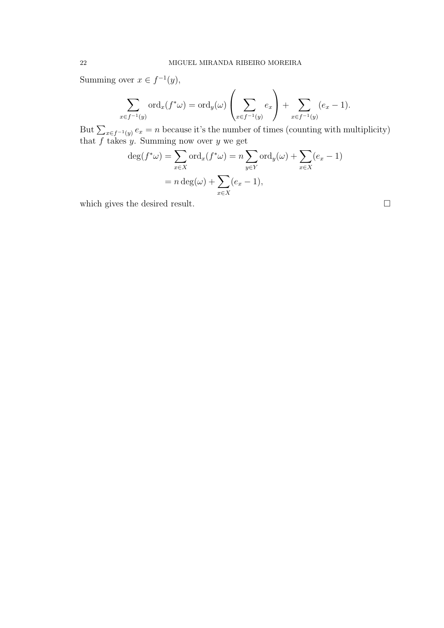Summing over  $x \in f^{-1}(y)$ ,

$$
\sum_{x \in f^{-1}(y)} \text{ord}_x(f^*\omega) = \text{ord}_y(\omega) \left(\sum_{x \in f^{-1}(y)} e_x\right) + \sum_{x \in f^{-1}(y)} (e_x - 1).
$$

But  $\sum_{x \in f^{-1}(y)} e_x = n$  because it's the number of times (counting with multiplicity) that  $f$  takes  $y$ . Summing now over  $y$  we get

$$
\deg(f^*\omega) = \sum_{x \in X} \text{ord}_x(f^*\omega) = n \sum_{y \in Y} \text{ord}_y(\omega) + \sum_{x \in X} (e_x - 1)
$$

$$
= n \deg(\omega) + \sum_{x \in X} (e_x - 1),
$$

which gives the desired result.  $\Box$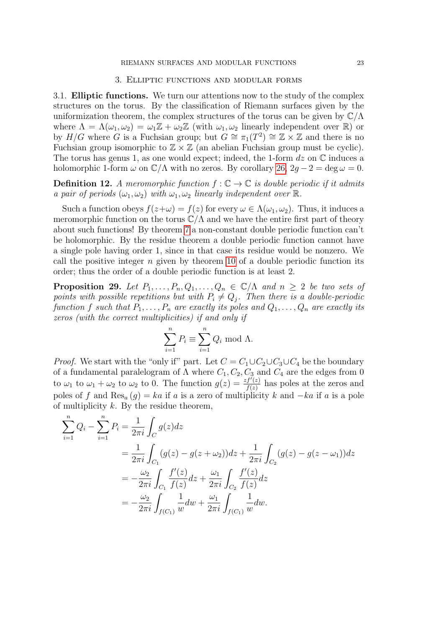## 3. Elliptic functions and modular forms

<span id="page-22-1"></span><span id="page-22-0"></span>3.1. Elliptic functions. We turn our attentions now to the study of the complex structures on the torus. By the classification of Riemann surfaces given by the uniformization theorem, the complex structures of the torus can be given by  $\mathbb{C}/\Lambda$ where  $\Lambda = \Lambda(\omega_1, \omega_2) = \omega_1 \mathbb{Z} + \omega_2 \mathbb{Z}$  (with  $\omega_1, \omega_2$  linearly independent over  $\mathbb{R}$ ) or by  $H/G$  where G is a Fuchsian group; but  $G \cong \pi_1(T^2) \cong \mathbb{Z} \times \mathbb{Z}$  and there is no Fuchsian group isomorphic to  $\mathbb{Z} \times \mathbb{Z}$  (an abelian Fuchsian group must be cyclic). The torus has genus 1, as one would expect; indeed, the 1-form  $dz$  on  $\mathbb C$  induces a holomorphic 1-form  $\omega$  on  $\mathbb{C}/\Lambda$  with no zeros. By corollary [26,](#page-20-0)  $2q - 2 = \deg \omega = 0$ .

**Definition 12.** A meromorphic function  $f : \mathbb{C} \to \mathbb{C}$  is double periodic if it admits a pair of periods  $(\omega_1, \omega_2)$  with  $\omega_1, \omega_2$  linearly independent over  $\mathbb R$ .

Such a function obeys  $f(z+\omega) = f(z)$  for every  $\omega \in \Lambda(\omega_1, \omega_2)$ . Thus, it induces a meromorphic function on the torus  $\mathbb{C}/\Lambda$  and we have the entire first part of theory about such functions! By theorem [7](#page-4-1) a non-constant double periodic function can't be holomorphic. By the residue theorem a double periodic function cannot have a single pole having order 1, since in that case its residue would be nonzero. We call the positive integer  $n$  given by theorem [10](#page-6-0) of a double periodic function its order; thus the order of a double periodic function is at least 2.

<span id="page-22-2"></span>**Proposition 29.** Let  $P_1, \ldots, P_n, Q_1, \ldots, Q_n \in \mathbb{C}/\Lambda$  and  $n \geq 2$  be two sets of points with possible repetitions but with  $P_i \neq Q_j$ . Then there is a double-periodic function f such that  $P_1, \ldots, P_n$  are exactly its poles and  $Q_1, \ldots, Q_n$  are exactly its zeros (with the correct multiplicities) if and only if

$$
\sum_{i=1}^{n} P_i \equiv \sum_{i=1}^{n} Q_i \text{ mod } \Lambda.
$$

*Proof.* We start with the "only if" part. Let  $C = C_1 \cup C_2 \cup C_3 \cup C_4$  be the boundary of a fundamental paralelogram of  $\Lambda$  where  $C_1, C_2, C_3$  and  $C_4$  are the edges from 0 to  $\omega_1$  to  $\omega_1 + \omega_2$  to  $\omega_2$  to 0. The function  $g(z) = \frac{zf'(z)}{f(z)}$  $\frac{f(f'(z))}{f(z)}$  has poles at the zeros and poles of f and Res<sub>a</sub>  $(q) = ka$  if a is a zero of multiplicity k and  $-ka$  if a is a pole of multiplicity  $k$ . By the residue theorem,

$$
\sum_{i=1}^{n} Q_i - \sum_{i=1}^{n} P_i = \frac{1}{2\pi i} \int_C g(z) dz
$$
  
= 
$$
\frac{1}{2\pi i} \int_{C_1} (g(z) - g(z + \omega_2)) dz + \frac{1}{2\pi i} \int_{C_2} (g(z) - g(z - \omega_1)) dz
$$
  
= 
$$
-\frac{\omega_2}{2\pi i} \int_{C_1} \frac{f'(z)}{f(z)} dz + \frac{\omega_1}{2\pi i} \int_{C_2} \frac{f'(z)}{f(z)} dz
$$
  
= 
$$
-\frac{\omega_2}{2\pi i} \int_{f(C_1)} \frac{1}{w} dw + \frac{\omega_1}{2\pi i} \int_{f(C_1)} \frac{1}{w} dw.
$$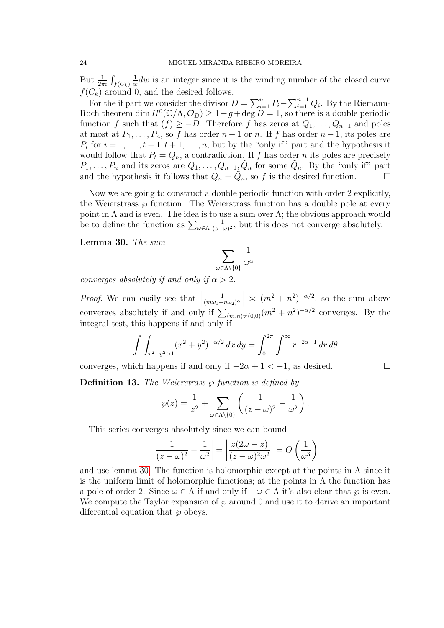But  $\frac{1}{2\pi i} \int_{f(C_k)}$ 1  $\frac{1}{w}dw$  is an integer since it is the winding number of the closed curve  $f(C_k)$  around 0, and the desired follows.

For the if part we consider the divisor  $D = \sum_{i=1}^{n} P_i - \sum_{i=1}^{n-1} Q_i$ . By the Riemann-Roch theorem dim  $H^0(\mathbb{C}/\Lambda, \mathcal{O}_D) \geq 1-g + \deg D = 1$ , so there is a double periodic function f such that  $(f) \ge -D$ . Therefore f has zeros at  $Q_1, \ldots, Q_{n-1}$  and poles at most at  $P_1, \ldots, P_n$ , so f has order  $n-1$  or n. If f has order  $n-1$ , its poles are  $P_i$  for  $i = 1, \ldots, t-1, t+1, \ldots, n$ ; but by the "only if" part and the hypothesis it would follow that  $P_t = Q_n$ , a contradiction. If f has order n its poles are precisely  $P_1, \ldots, P_n$  and its zeros are  $Q_1, \ldots, Q_{n-1}, \tilde{Q}_n$  for some  $\tilde{Q}_n$ . By the "only if" part and the hypothesis it follows that  $Q_n = \tilde{Q}_n$ , so f is the desired function.

Now we are going to construct a double periodic function with order 2 explicitly, the Weierstrass  $\wp$  function. The Weierstrass function has a double pole at every point in  $\Lambda$  and is even. The idea is to use a sum over  $\Lambda$ ; the obvious approach would be to define the function as  $\sum_{\omega \in \Lambda}$ 1  $\frac{1}{(z-\omega)^2}$ , but this does not converge absolutely.

<span id="page-23-0"></span>Lemma 30. The sum

$$
\sum_{\omega \in \Lambda \backslash \{0\}} \frac{1}{\omega^\alpha}
$$

converges absolutely if and only if  $\alpha > 2$ .

*Proof.* We can easily see that  $\frac{1}{(m\omega_1 + n)}$  $\left| \frac{(m\omega_1+n\omega_2)^{\alpha}}{(\omega_1+n\omega_2)^{\alpha}} \right|$  $(m\omega_1+n\omega_2)^\alpha$  $\vert \times (m^2 + n^2)^{-\alpha/2}$ , so the sum above converges absolutely if and only if  $\sum_{(m,n)\neq(0,0)}(m^2+n^2)^{-\alpha/2}$  converges. By the integral test, this happens if and only if

$$
\int \int_{x^2+y^2>1} (x^2+y^2)^{-\alpha/2} \, dx \, dy = \int_0^{2\pi} \int_1^{\infty} r^{-2\alpha+1} \, dr \, d\theta
$$

converges, which happens if and only if  $-2\alpha + 1 < -1$ , as desired.

**Definition 13.** The Weierstrass  $\wp$  function is defined by

$$
\wp(z) = \frac{1}{z^2} + \sum_{\omega \in \Lambda \setminus \{0\}} \left( \frac{1}{(z - \omega)^2} - \frac{1}{\omega^2} \right).
$$

This series converges absolutely since we can bound

$$
\left|\frac{1}{(z-\omega)^2} - \frac{1}{\omega^2}\right| = \left|\frac{z(2\omega - z)}{(z-\omega)^2\omega^2}\right| = O\left(\frac{1}{\omega^3}\right)
$$

and use lemma [30.](#page-23-0) The function is holomorphic except at the points in  $\Lambda$  since it is the uniform limit of holomorphic functions; at the points in  $\Lambda$  the function has a pole of order 2. Since  $\omega \in \Lambda$  if and only if  $-\omega \in \Lambda$  it's also clear that  $\varphi$  is even. We compute the Taylor expansion of  $\wp$  around 0 and use it to derive an important diferential equation that  $\wp$  obeys.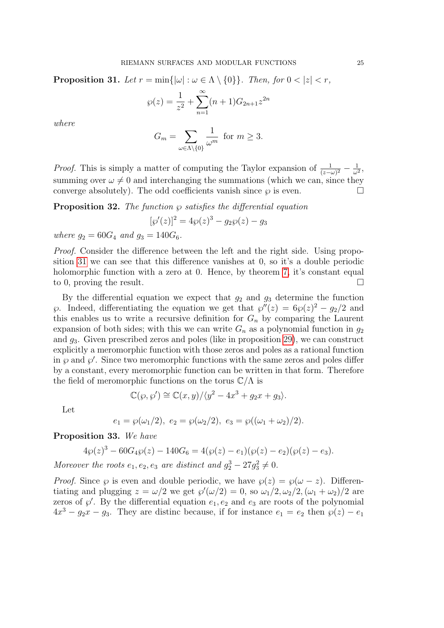<span id="page-24-0"></span>**Proposition 31.** Let  $r = \min\{|\omega| : \omega \in \Lambda \setminus \{0\}\}\$ . Then, for  $0 < |z| < r$ ,

$$
\wp(z) = \frac{1}{z^2} + \sum_{n=1}^{\infty} (n+1)G_{2n+1}z^{2n}
$$

where

$$
G_m = \sum_{\omega \in \Lambda \backslash \{0\}} \frac{1}{\omega^m} \text{ for } m \ge 3.
$$

*Proof.* This is simply a matter of computing the Taylor expansion of  $\frac{1}{(z-\omega)^2} - \frac{1}{\omega^2}$  $\frac{1}{\omega^2}$ summing over  $\omega \neq 0$  and interchanging the summations (which we can, since they converge absolutely). The odd coefficients vanish since  $\wp$  is even.

**Proposition 32.** The function  $\wp$  satisfies the differential equation

$$
[\wp'(z)]^2 = 4\wp(z)^3 - g_2\wp(z) - g_3
$$

where  $q_2 = 60G_4$  and  $q_3 = 140G_6$ .

Proof. Consider the difference between the left and the right side. Using proposition [31](#page-24-0) we can see that this difference vanishes at 0, so it's a double periodic holomorphic function with a zero at 0. Hence, by theorem [7,](#page-4-1) it's constant equal to 0, proving the result.  $\Box$ 

By the differential equation we expect that  $g_2$  and  $g_3$  determine the function  $\wp$ . Indeed, differentiating the equation we get that  $\wp''(z) = 6\wp(z)^2 - g_2/2$  and this enables us to write a recursive definition for  $G_n$  by comparing the Laurent expansion of both sides; with this we can write  $G_n$  as a polynomial function in  $g_2$ and  $q_3$ . Given prescribed zeros and poles (like in proposition [29\)](#page-22-2), we can construct explicitly a meromorphic function with those zeros and poles as a rational function in  $\wp$  and  $\wp'$ . Since two meromorphic functions with the same zeros and poles differ by a constant, every meromorphic function can be written in that form. Therefore the field of meromorphic functions on the torus  $\mathbb{C}/\Lambda$  is

$$
\mathbb{C}(\wp, \wp') \cong \mathbb{C}(x, y) / \langle y^2 - 4x^3 + g_2 x + g_3 \rangle.
$$

Let

$$
e_1 = \wp(\omega_1/2), e_2 = \wp(\omega_2/2), e_3 = \wp((\omega_1 + \omega_2)/2).
$$

<span id="page-24-1"></span>Proposition 33. We have

$$
4\wp(z)^3 - 60G_4\wp(z) - 140G_6 = 4(\wp(z) - e_1)(\wp(z) - e_2)(\wp(z) - e_3).
$$

Moreover the roots  $e_1, e_2, e_3$  are distinct and  $g_2^3 - 27g_3^2 \neq 0$ .

*Proof.* Since  $\wp$  is even and double periodic, we have  $\wp(z) = \wp(\omega - z)$ . Differentiating and plugging  $z = \omega/2$  we get  $\wp'(\omega/2) = 0$ , so  $\omega_1/2, \omega_2/2, (\omega_1 + \omega_2)/2$  are zeros of  $\wp'$ . By the differential equation  $e_1, e_2$  and  $e_3$  are roots of the polynomial  $4x^3 - g_2x - g_3$ . They are distinc because, if for instance  $e_1 = e_2$  then  $\wp(z) - e_1$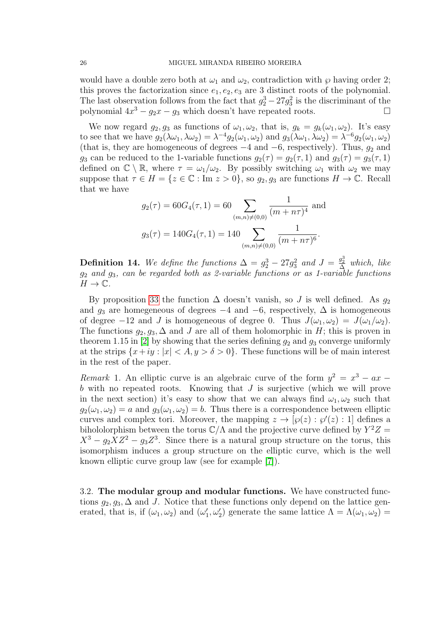would have a double zero both at  $\omega_1$  and  $\omega_2$ , contradiction with  $\wp$  having order 2; this proves the factorization since  $e_1, e_2, e_3$  are 3 distinct roots of the polynomial. The last observation follows from the fact that  $g_2^3 - 27g_3^2$  is the discriminant of the polynomial  $4x^3 - g_2x - g_3$  which doesn't have repeated roots.

We now regard  $g_2, g_3$  as functions of  $\omega_1, \omega_2$ , that is,  $g_k = g_k(\omega_1, \omega_2)$ . It's easy to see that we have  $g_2(\lambda \omega_1, \lambda \omega_2) = \lambda^{-4} g_2(\omega_1, \omega_2)$  and  $g_3(\lambda \omega_1, \lambda \omega_2) = \lambda^{-6} g_2(\omega_1, \omega_2)$ (that is, they are homogeneous of degrees  $-4$  and  $-6$ , respectively). Thus,  $g_2$  and  $g_3$  can be reduced to the 1-variable functions  $g_2(\tau) = g_2(\tau, 1)$  and  $g_3(\tau) = g_3(\tau, 1)$ defined on  $\mathbb{C} \setminus \mathbb{R}$ , where  $\tau = \omega_1/\omega_2$ . By possibly switching  $\omega_1$  with  $\omega_2$  we may suppose that  $\tau \in H = \{z \in \mathbb{C} : \text{Im } z > 0\}$ , so  $g_2, g_3$  are functions  $H \to \mathbb{C}$ . Recall that we have

$$
g_2(\tau) = 60G_4(\tau, 1) = 60 \sum_{(m,n)\neq(0,0)} \frac{1}{(m+n\tau)^4}
$$
 and  
 $g_3(\tau) = 140G_4(\tau, 1) = 140 \sum_{(m,n)\neq(0,0)} \frac{1}{(m+n\tau)^6}.$ 

**Definition 14.** We define the functions  $\Delta = g_2^3 - 27g_3^2$  and  $J = \frac{g_2^3}{\Delta}$  which, like  $g_2$  and  $g_3$ , can be regarded both as 2-variable functions or as 1-variable functions  $H \to \mathbb{C}$ .

By proposition [33](#page-24-1) the function  $\Delta$  doesn't vanish, so J is well defined. As  $g_2$ and  $g_3$  are homegeneous of degrees  $-4$  and  $-6$ , respectively,  $\Delta$  is homogeneous of degree  $-12$  and J is homogeneous of degree 0. Thus  $J(\omega_1, \omega_2) = J(\omega_1/\omega_2)$ . The functions  $g_2, g_3, \Delta$  and J are all of them holomorphic in H; this is proven in theorem 1.15 in [\[2\]](#page-40-2) by showing that the series defining  $g_2$  and  $g_3$  converge uniformly at the strips  $\{x+iy : |x| < A, y > \delta > 0\}$ . These functions will be of main interest in the rest of the paper.

Remark 1. An elliptic curve is an algebraic curve of the form  $y^2 = x^3 - ax$ b with no repeated roots. Knowing that J is surjective (which we will prove in the next section) it's easy to show that we can always find  $\omega_1, \omega_2$  such that  $g_2(\omega_1, \omega_2) = a$  and  $g_3(\omega_1, \omega_2) = b$ . Thus there is a correspondence between elliptic curves and complex tori. Moreover, the mapping  $z \to [\varphi(z) : \varphi'(z) : 1]$  defines a bihololorphism between the torus  $\mathbb{C}/\Lambda$  and the projective curve defined by  $Y^2Z =$  $X^3 - g_2 X Z^2 - g_3 Z^3$ . Since there is a natural group structure on the torus, this isomorphism induces a group structure on the elliptic curve, which is the well known elliptic curve group law (see for example [\[7\]](#page-40-3)).

<span id="page-25-0"></span>3.2. The modular group and modular functions. We have constructed functions  $g_2, g_3, \Delta$  and J. Notice that these functions only depend on the lattice generated, that is, if  $(\omega_1, \omega_2)$  and  $(\omega'_1, \omega'_2)$  generate the same lattice  $\Lambda = \Lambda(\omega_1, \omega_2)$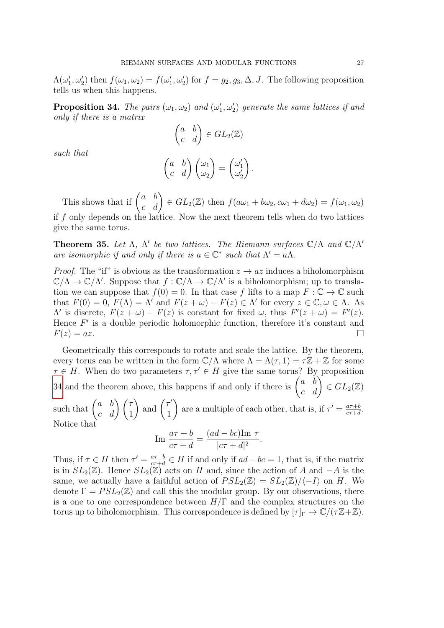$\Lambda(\omega'_1, \omega'_2)$  then  $f(\omega_1, \omega_2) = f(\omega'_1, \omega'_2)$  for  $f = g_2, g_3, \Delta, J$ . The following proposition tells us when this happens.

<span id="page-26-0"></span>**Proposition 34.** The pairs  $(\omega_1, \omega_2)$  and  $(\omega'_1, \omega'_2)$  generate the same lattices if and only if there is a matrix

$$
\begin{pmatrix} a & b \ c & d \end{pmatrix} \in GL_2(\mathbb{Z})
$$

$$
\begin{pmatrix} a & b \ c & d \end{pmatrix} \begin{pmatrix} \omega_1 \\ \omega_2 \end{pmatrix} = \begin{pmatrix} \omega'_1 \\ \omega'_2 \end{pmatrix}
$$

.

such that

This shows that if  $\begin{pmatrix} a & b \\ c & d \end{pmatrix} \in GL_2(\mathbb{Z})$  then  $f(a\omega_1 + b\omega_2, c\omega_1 + d\omega_2) = f(\omega_1, \omega_2)$ 

if  $f$  only depends on the lattice. Now the next theorem tells when do two lattices give the same torus.

**Theorem 35.** Let  $\Lambda$ ,  $\Lambda'$  be two lattices. The Riemann surfaces  $\mathbb{C}/\Lambda$  and  $\mathbb{C}/\Lambda'$ are isomorphic if and only if there is  $a \in \mathbb{C}^*$  such that  $\Lambda' = a\Lambda$ .

*Proof.* The "if" is obvious as the transformation  $z \to az$  induces a biholomorphism  $\mathbb{C}/\Lambda \to \mathbb{C}/\Lambda'$ . Suppose that  $f : \mathbb{C}/\Lambda \to \mathbb{C}/\Lambda'$  is a biholomorphism; up to translation we can suppose that  $f(0) = 0$ . In that case f lifts to a map  $F : \mathbb{C} \to \mathbb{C}$  such that  $F(0) = 0$ ,  $F(\Lambda) = \Lambda'$  and  $F(z + \omega) - F(z) \in \Lambda'$  for every  $z \in \mathbb{C}, \omega \in \Lambda$ . As  $Λ'$  is discrete,  $F(z + ω) - F(z)$  is constant for fixed ω, thus  $F'(z + ω) = F'(z)$ . Hence  $F'$  is a double periodic holomorphic function, therefore it's constant and  $F(z) = az.$ 

Geometrically this corresponds to rotate and scale the lattice. By the theorem, every torus can be written in the form  $\mathbb{C}/\Lambda$  where  $\Lambda = \Lambda(\tau, 1) = \tau \mathbb{Z} + \mathbb{Z}$  for some  $\tau \in H$ . When do two parameters  $\tau, \tau' \in H$  give the same torus? By proposition [34](#page-26-0) and the theorem above, this happens if and only if there is  $\begin{pmatrix} a & b \\ c & d \end{pmatrix} \in GL_2(\mathbb{Z})$ 

such that  $\begin{pmatrix} a & b \\ c & d \end{pmatrix} \begin{pmatrix} \tau \\ 1 \end{pmatrix}$ ) and  $\begin{pmatrix} \tau' \\ 1 \end{pmatrix}$ 1  $\setminus$ are a multiple of each other, that is, if  $\tau' = \frac{a\tau+b}{c\tau+d}$  $\frac{a\tau+b}{c\tau+d}.$ Notice that

$$
\operatorname{Im} \frac{a\tau + b}{c\tau + d} = \frac{(ad - bc)\operatorname{Im} \tau}{|c\tau + d|^2}.
$$

Thus, if  $\tau \in H$  then  $\tau' = \frac{a\tau + b}{c\tau + d}$  $\frac{a\tau+b}{c\tau+d} \in H$  if and only if  $ad - bc = 1$ , that is, if the matrix is in  $SL_2(\mathbb{Z})$ . Hence  $SL_2(\mathbb{Z})$  acts on H and, since the action of A and  $-A$  is the same, we actually have a faithful action of  $PSL_2(\mathbb{Z}) = SL_2(\mathbb{Z}) / \langle -I \rangle$  on H. We denote  $\Gamma = PSL_2(\mathbb{Z})$  and call this the modular group. By our observations, there is a one to one correspondence between  $H/\Gamma$  and the complex structures on the torus up to biholomorphism. This correspondence is defined by  $[\tau]_{\Gamma} \to \mathbb{C}/(\tau \mathbb{Z}+\mathbb{Z})$ .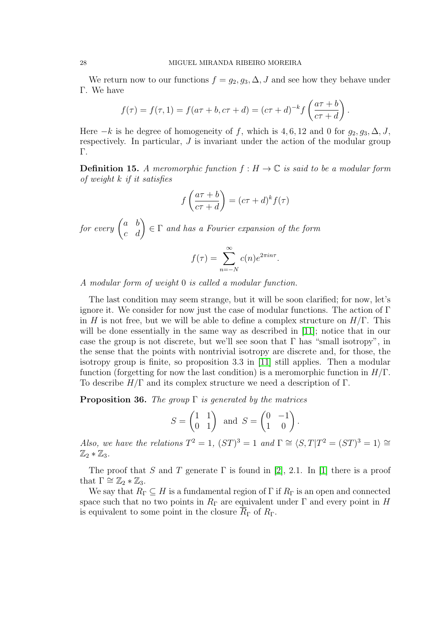We return now to our functions  $f = g_2, g_3, \Delta, J$  and see how they behave under Γ. We have

$$
f(\tau) = f(\tau, 1) = f(a\tau + b, c\tau + d) = (c\tau + d)^{-k} f\left(\frac{a\tau + b}{c\tau + d}\right).
$$

Here  $-k$  is he degree of homogeneity of f, which is 4, 6, 12 and 0 for  $g_2, g_3, \Delta, J$ , respectively. In particular, J is invariant under the action of the modular group Γ.

**Definition 15.** A meromorphic function  $f : H \to \mathbb{C}$  is said to be a modular form of weight k if it satisfies

$$
f\left(\frac{a\tau+b}{c\tau+d}\right) = (c\tau+d)^k f(\tau)
$$

for every  $\begin{pmatrix} a & b \ c & d \end{pmatrix} \in \Gamma$  and has a Fourier expansion of the form

$$
f(\tau) = \sum_{n=-N}^{\infty} c(n)e^{2\pi i n \tau}.
$$

A modular form of weight 0 is called a modular function.

The last condition may seem strange, but it will be soon clarified; for now, let's ignore it. We consider for now just the case of modular functions. The action of  $\Gamma$ in H is not free, but we will be able to define a complex structure on  $H/\Gamma$ . This will be done essentially in the same way as described in [\[11\]](#page-40-4); notice that in our case the group is not discrete, but we'll see soon that  $\Gamma$  has "small isotropy", in the sense that the points with nontrivial isotropy are discrete and, for those, the isotropy group is finite, so proposition 3.3 in [\[11\]](#page-40-4) still applies. Then a modular function (forgetting for now the last condition) is a meromorphic function in  $H/\Gamma$ . To describe  $H/\Gamma$  and its complex structure we need a description of  $\Gamma$ .

**Proposition 36.** The group  $\Gamma$  is generated by the matrices

$$
S = \begin{pmatrix} 1 & 1 \\ 0 & 1 \end{pmatrix} \text{ and } S = \begin{pmatrix} 0 & -1 \\ 1 & 0 \end{pmatrix}.
$$

Also, we have the relations  $T^2 = 1$ ,  $(ST)^3 = 1$  and  $\Gamma \cong \langle S, T | T^2 = (ST)^3 = 1 \rangle \cong$  $\mathbb{Z}_2 * \mathbb{Z}_3$ .

The proof that S and T generate  $\Gamma$  is found in [\[2\]](#page-40-2), 2.1. In [\[1\]](#page-40-5) there is a proof that  $\Gamma \cong \mathbb{Z}_2 * \mathbb{Z}_3$ .

We say that  $R_{\Gamma} \subseteq H$  is a fundamental region of  $\Gamma$  if  $R_{\Gamma}$  is an open and connected space such that no two points in  $R_{\Gamma}$  are equivalent under  $\Gamma$  and every point in H is equivalent to some point in the closure  $R_{\Gamma}$  of  $R_{\Gamma}$ .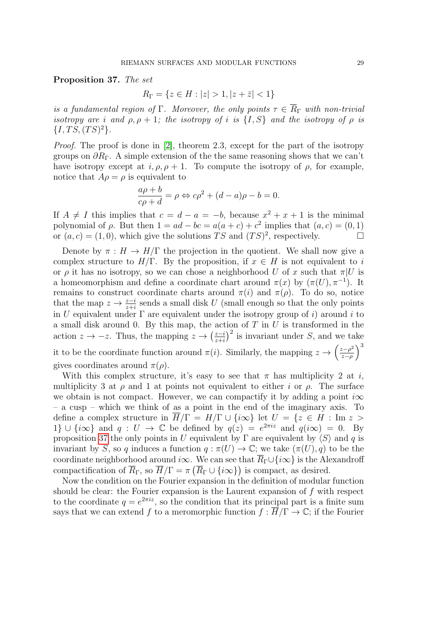<span id="page-28-0"></span>Proposition 37. The set

$$
R_{\Gamma} = \{ z \in H : |z| > 1, |z + \bar{z}| < 1 \}
$$

is a fundamental region of Γ. Moreover, the only points  $\tau \in \overline{R}_{\Gamma}$  with non-trivial isotropy are i and  $\rho, \rho + 1$ ; the isotropy of i is  $\{I, S\}$  and the isotropy of  $\rho$  is  $\{I, TS, (TS)^2\}.$ 

Proof. The proof is done in [\[2\]](#page-40-2), theorem 2.3, except for the part of the isotropy groups on  $\partial R_{\Gamma}$ . A simple extension of the the same reasoning shows that we can't have isotropy except at  $i, \rho, \rho + 1$ . To compute the isotropy of  $\rho$ , for example, notice that  $A\rho = \rho$  is equivalent to

$$
\frac{a\rho + b}{c\rho + d} = \rho \Leftrightarrow c\rho^2 + (d - a)\rho - b = 0.
$$

If  $A \neq I$  this implies that  $c = d - a = -b$ , because  $x^2 + x + 1$  is the minimal polynomial of  $\rho$ . But then  $1 = ad - bc = a(a + c) + c^2$  implies that  $(a, c) = (0, 1)$ or  $(a, c) = (1, 0)$ , which give the solutions TS and  $(TS)^2$ , respectively.

Denote by  $\pi : H \to H/\Gamma$  the projection in the quotient. We shall now give a complex structure to  $H/\Gamma$ . By the proposition, if  $x \in H$  is not equivalent to i or  $\rho$  it has no isotropy, so we can chose a neighborhood U of x such that  $\pi|U$  is a homeomorphism and define a coordinate chart around  $\pi(x)$  by  $(\pi(U), \pi^{-1})$ . It remains to construct coordinate charts around  $\pi(i)$  and  $\pi(\rho)$ . To do so, notice that the map  $z \to \frac{z-i}{z+i}$  sends a small disk U (small enough so that the only points in U equivalent under  $\Gamma$  are equivalent under the isotropy group of i) around i to a small disk around 0. By this map, the action of  $T$  in  $U$  is transformed in the action  $z \to -z$ . Thus, the mapping  $z \to \left(\frac{z-i}{z+i}\right)$  $\left(\frac{z-i}{z+i}\right)^2$  is invariant under S, and we take it to be the coordinate function around  $\pi(i)$ . Similarly, the mapping  $z \to \left(\frac{z-\rho^2}{z-\rho}\right)$  $\left(\frac{z-\rho^2}{z-\rho}\right)^3$ gives coordinates around  $\pi(\rho)$ .

With this complex structure, it's easy to see that  $\pi$  has multiplicity 2 at i, multiplicity 3 at  $\rho$  and 1 at points not equivalent to either i or  $\rho$ . The surface we obtain is not compact. However, we can compactify it by adding a point  $i\infty$ – a cusp – which we think of as a point in the end of the imaginary axis. To define a complex structure in  $\overline{H}/\Gamma = H/\Gamma \cup \{i\infty\}$  let  $U = \{z \in H : \text{Im } z >$ 1}  $\cup \{i\infty\}$  and  $q: U \to \mathbb{C}$  be defined by  $q(z) = e^{2\pi i z}$  and  $q(i\infty) = 0$ . By proposition [37](#page-28-0) the only points in U equivalent by  $\Gamma$  are equivalent by  $\langle S \rangle$  and q is invariant by S, so q induces a function  $q : \pi(U) \to \mathbb{C}$ ; we take  $(\pi(U), q)$  to be the coordinate neighborhood around i∞. We can see that  $\overline{R}_{\Gamma} \cup \{i\infty\}$  is the Alexandroff compactification of  $\overline{R}_{\Gamma}$ , so  $\overline{H}/\Gamma = \pi (\overline{R}_{\Gamma} \cup {\iota \infty})$  is compact, as desired.

Now the condition on the Fourier expansion in the definition of modular function should be clear: the Fourier expansion is the Laurent expansion of  $f$  with respect to the coordinate  $q = e^{2\pi i z}$ , so the condition that its principal part is a finite sum says that we can extend f to a meromorphic function  $f : \overline{H}/\Gamma \to \mathbb{C}$ ; if the Fourier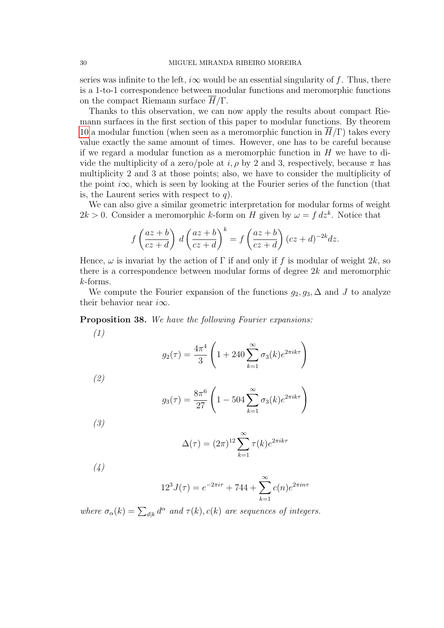series was infinite to the left,  $i\infty$  would be an essential singularity of f. Thus, there is a 1-to-1 correspondence between modular functions and meromorphic functions on the compact Riemann surface  $H/\Gamma$ .

Thanks to this observation, we can now apply the results about compact Riemann surfaces in the first section of this paper to modular functions. By theorem [10](#page-6-0) a modular function (when seen as a meromorphic function in  $H/\Gamma$ ) takes every value exactly the same amount of times. However, one has to be careful because if we regard a modular function as a meromorphic function in  $H$  we have to divide the multiplicity of a zero/pole at  $i, \rho$  by 2 and 3, respectively, because  $\pi$  has multiplicity 2 and 3 at those points; also, we have to consider the multiplicity of the point  $i\infty$ , which is seen by looking at the Fourier series of the function (that is, the Laurent series with respect to  $q$ ).

We can also give a similar geometric interpretation for modular forms of weight  $2k > 0$ . Consider a meromorphic k-form on H given by  $\omega = f dz^k$ . Notice that

$$
f\left(\frac{az+b}{cz+d}\right)d\left(\frac{az+b}{cz+d}\right)^k = f\left(\frac{az+b}{cz+d}\right)(cz+d)^{-2k}dz.
$$

Hence,  $\omega$  is invariat by the action of  $\Gamma$  if and only if f is modular of weight  $2k$ , so there is a correspondence between modular forms of degree  $2k$  and meromorphic k-forms.

We compute the Fourier expansion of the functions  $g_2, g_3, \Delta$  and J to analyze their behavior near  $i\infty$ .

Proposition 38. We have the following Fourier expansions:

(1)

$$
g_2(\tau) = \frac{4\pi^4}{3} \left( 1 + 240 \sum_{k=1}^{\infty} \sigma_3(k) e^{2\pi i k \tau} \right)
$$

(2)

$$
g_3(\tau) = \frac{8\pi^6}{27} \left( 1 - 504 \sum_{k=1}^{\infty} \sigma_3(k) e^{2\pi i k \tau} \right)
$$

(3)

$$
\Delta(\tau) = (2\pi)^{12} \sum_{k=1}^{\infty} \tau(k) e^{2\pi i k \tau}
$$

<span id="page-29-0"></span>(4)

$$
12^{3} J(\tau) = e^{-2\pi i \tau} + 744 + \sum_{k=1}^{\infty} c(n)e^{2\pi i n \tau}
$$

where  $\sigma_{\alpha}(k) = \sum_{d|k} d^{\alpha}$  and  $\tau(k)$ ,  $c(k)$  are sequences of integers.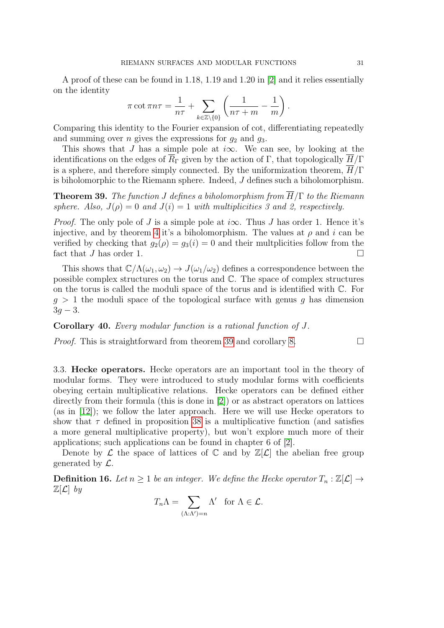A proof of these can be found in 1.18, 1.19 and 1.20 in [\[2\]](#page-40-2) and it relies essentially on the identity

$$
\pi \cot \pi n \tau = \frac{1}{n\tau} + \sum_{k \in \mathbb{Z} \setminus \{0\}} \left( \frac{1}{n\tau + m} - \frac{1}{m} \right).
$$

Comparing this identity to the Fourier expansion of cot, differentiating repeatedly and summing over *n* gives the expressions for  $g_2$  and  $g_3$ .

This shows that J has a simple pole at  $i\infty$ . We can see, by looking at the identifications on the edges of  $\overline{R}_{\Gamma}$  given by the action of Γ, that topologically  $\overline{H}/\Gamma$ is a sphere, and therefore simply connected. By the uniformization theorem,  $\overline{H}/\Gamma$ is biholomorphic to the Riemann sphere. Indeed, J defines such a biholomorphism.

<span id="page-30-1"></span>**Theorem 39.** The function J defines a biholomorphism from  $\overline{H}/\Gamma$  to the Riemann sphere. Also,  $J(\rho) = 0$  and  $J(i) = 1$  with multiplicities 3 and 2, respectively.

*Proof.* The only pole of J is a simple pole at  $i\infty$ . Thus J has order 1. Hence it's injective, and by theorem [4](#page-4-2) it's a biholomorphism. The values at  $\rho$  and i can be verified by checking that  $g_2(\rho) = g_3(i) = 0$  and their multplicities follow from the fact that  $J$  has order 1.

This shows that  $\mathbb{C}/\Lambda(\omega_1, \omega_2) \to J(\omega_1/\omega_2)$  defines a correspondence between the possible complex structures on the torus and C. The space of complex structures on the torus is called the moduli space of the torus and is identified with C. For  $g > 1$  the moduli space of the topological surface with genus g has dimension  $3g - 3.$ 

Corollary 40. Every modular function is a rational function of J.

*Proof.* This is straightforward from theorem [39](#page-30-1) and corollary [8.](#page-4-3)  $\Box$ 

<span id="page-30-0"></span>3.3. Hecke operators. Hecke operators are an important tool in the theory of modular forms. They were introduced to study modular forms with coefficients obeying certain multiplicative relations. Hecke operators can be defined either directly from their formula (this is done in [\[2\]](#page-40-2)) or as abstract operators on lattices (as in [\[12\]](#page-40-6)); we follow the later approach. Here we will use Hecke operators to show that  $\tau$  defined in proposition [38](#page-29-0) is a multiplicative function (and satisfies a more general multiplicative property), but won't explore much more of their applications; such applications can be found in chapter 6 of [\[2\]](#page-40-2).

Denote by  $\mathcal L$  the space of lattices of  $\mathbb C$  and by  $\mathbb Z[\mathcal L]$  the abelian free group generated by  $\mathcal{L}$ .

**Definition 16.** Let  $n \geq 1$  be an integer. We define the Hecke operator  $T_n : \mathbb{Z}[\mathcal{L}] \to$  $\mathbb{Z}[\mathcal{L}]$  by

$$
T_n \Lambda = \sum_{(\Lambda:\Lambda')=n} \Lambda' \text{ for } \Lambda \in \mathcal{L}.
$$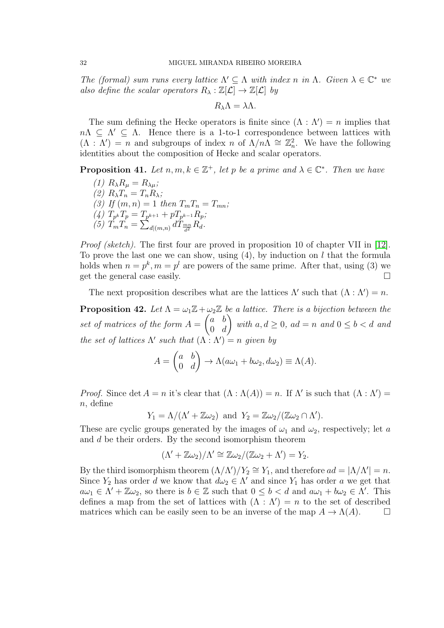The (formal) sum runs every lattice  $\Lambda' \subseteq \Lambda$  with index n in  $\Lambda$ . Given  $\lambda \in \mathbb{C}^*$  we also define the scalar operators  $R_{\lambda}: \mathbb{Z}[\mathcal{L}] \to \mathbb{Z}[\mathcal{L}]$  by

$$
R_{\lambda}\Lambda=\lambda\Lambda.
$$

The sum defining the Hecke operators is finite since  $(Λ : Λ') = n$  implies that  $n\Lambda \subseteq \Lambda' \subseteq \Lambda$ . Hence there is a 1-to-1 correspondence between lattices with  $(\Lambda : \Lambda') = n$  and subgroups of index n of  $\Lambda/n\Lambda \cong \mathbb{Z}_n^2$ . We have the following identities about the composition of Hecke and scalar operators.

**Proposition 41.** Let  $n, m, k \in \mathbb{Z}^+$ , let p be a prime and  $\lambda \in \mathbb{C}^*$ . Then we have

(1)  $R_{\lambda}R_{\mu} = R_{\lambda\mu}$ ; (2)  $R_{\lambda}T_n = T_n R_{\lambda};$ (3) If  $(m, n) = 1$  then  $T_m T_n = T_{mn}$ ; (4)  $T_{p^k}T_p = T_{p^{k+1}} + pT_{p^{k-1}}R_p;$ (5)  $T_m T_n = \sum_{d|(m,n)} d T_{\frac{mn}{d^2}} R_d$ .

<span id="page-31-0"></span>Proof (sketch). The first four are proved in proposition 10 of chapter VII in [\[12\]](#page-40-6). To prove the last one we can show, using  $(4)$ , by induction on l that the formula holds when  $n = p^k, m = p^l$  are powers of the same prime. After that, using (3) we get the general case easily.

The next proposition describes what are the lattices  $\Lambda'$  such that  $(\Lambda : \Lambda') = n$ .

<span id="page-31-1"></span>**Proposition 42.** Let  $\Lambda = \omega_1 \mathbb{Z} + \omega_2 \mathbb{Z}$  be a lattice. There is a bijection between the set of matrices of the form  $A =$  $\int a b$  $0 \quad d$  $\setminus$ with  $a, d \geq 0$ ,  $ad = n$  and  $0 \leq b < d$  and the set of lattices  $\Lambda'$  such that  $(\Lambda : \Lambda') = n$  given by

$$
A = \begin{pmatrix} a & b \\ 0 & d \end{pmatrix} \to \Lambda(a\omega_1 + b\omega_2, d\omega_2) \equiv \Lambda(A).
$$

*Proof.* Since det  $A = n$  it's clear that  $(\Lambda : \Lambda(A)) = n$ . If  $\Lambda'$  is such that  $(\Lambda : \Lambda') =$  $n$ , define

$$
Y_1 = \Lambda/(\Lambda' + \mathbb{Z}\omega_2)
$$
 and  $Y_2 = \mathbb{Z}\omega_2/(\mathbb{Z}\omega_2 \cap \Lambda').$ 

These are cyclic groups generated by the images of  $\omega_1$  and  $\omega_2$ , respectively; let a and d be their orders. By the second isomorphism theorem

$$
(\Lambda' + \mathbb{Z}\omega_2)/\Lambda' \cong \mathbb{Z}\omega_2/(\mathbb{Z}\omega_2 + \Lambda') = Y_2.
$$

By the third isomorphism theorem  $(\Lambda/\Lambda')/Y_2 \cong Y_1$ , and therefore  $ad = |\Lambda/\Lambda'| = n$ . Since  $Y_2$  has order d we know that  $d\omega_2 \in \Lambda'$  and since  $Y_1$  has order a we get that  $a\omega_1 \in \Lambda' + \mathbb{Z}\omega_2$ , so there is  $b \in \mathbb{Z}$  such that  $0 \leq b < d$  and  $a\omega_1 + b\omega_2 \in \Lambda'$ . This defines a map from the set of lattices with  $(Λ : Λ') = n$  to the set of described matrices which can be easily seen to be an inverse of the map  $A \to \Lambda(A)$ .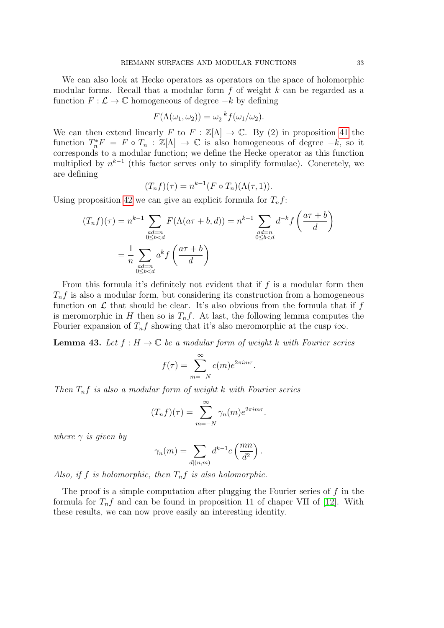We can also look at Hecke operators as operators on the space of holomorphic modular forms. Recall that a modular form  $f$  of weight  $k$  can be regarded as a function  $F: \mathcal{L} \to \mathbb{C}$  homogeneous of degree  $-k$  by defining

$$
F(\Lambda(\omega_1, \omega_2)) = \omega_2^{-k} f(\omega_1/\omega_2).
$$

We can then extend linearly F to  $F : \mathbb{Z}[\Lambda] \to \mathbb{C}$ . By (2) in proposition [41](#page-31-0) the function  $T_n^*F = F \circ T_n : \mathbb{Z}[\Lambda] \to \mathbb{C}$  is also homogeneous of degree  $-k$ , so it corresponds to a modular function; we define the Hecke operator as this function multiplied by  $n^{k-1}$  (this factor serves only to simplify formulae). Concretely, we are defining

$$
(T_n f)(\tau) = n^{k-1} (F \circ T_n)(\Lambda(\tau, 1)).
$$

Using proposition [42](#page-31-1) we can give an explicit formula for  $T_n f$ :

$$
(T_n f)(\tau) = n^{k-1} \sum_{\substack{ad=n\\0\le b
$$

From this formula it's definitely not evident that if  $f$  is a modular form then  $T_n f$  is also a modular form, but considering its construction from a homogeneous function on  $\mathcal L$  that should be clear. It's also obvious from the formula that if  $f$ is meromorphic in H then so is  $T_n f$ . At last, the following lemma computes the Fourier expansion of  $T_n f$  showing that it's also meromorphic at the cusp  $i\infty$ .

<span id="page-32-0"></span>**Lemma 43.** Let  $f : H \to \mathbb{C}$  be a modular form of weight k with Fourier series

$$
f(\tau) = \sum_{m=-N}^{\infty} c(m)e^{2\pi im\tau}.
$$

Then  $T_n f$  is also a modular form of weight k with Fourier series

$$
(T_n f)(\tau) = \sum_{m=-N}^{\infty} \gamma_n(m) e^{2\pi i m \tau}.
$$

where  $\gamma$  is given by

$$
\gamma_n(m) = \sum_{d|(n,m)} d^{k-1}c\left(\frac{mn}{d^2}\right).
$$

Also, if f is holomorphic, then  $T_nf$  is also holomorphic.

The proof is a simple computation after plugging the Fourier series of  $f$  in the formula for  $T_n f$  and can be found in proposition 11 of chaper VII of [\[12\]](#page-40-6). With these results, we can now prove easily an interesting identity.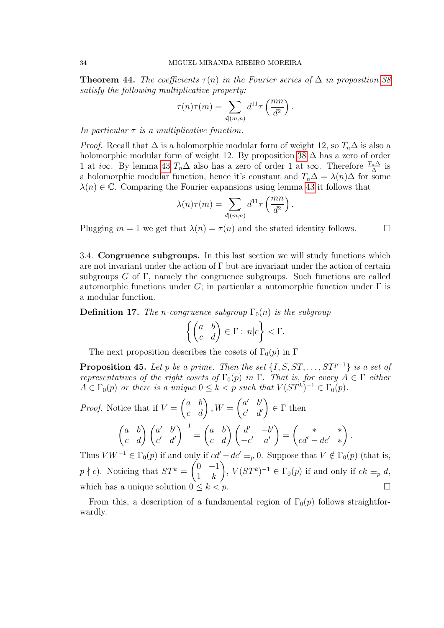<span id="page-33-2"></span>**Theorem 44.** The coefficients  $\tau(n)$  in the Fourier series of  $\Delta$  in proposition [38](#page-29-0) satisfy the following multiplicative property:

$$
\tau(n)\tau(m) = \sum_{d|(m,n)} d^{11}\tau\left(\frac{mn}{d^2}\right).
$$

In particular  $\tau$  is a multiplicative function.

*Proof.* Recall that  $\Delta$  is a holomorphic modular form of weight 12, so  $T_n\Delta$  is also a holomorphic modular form of weight 12. By proposition [38](#page-29-0)  $\Delta$  has a zero of order 1 at *i*∞. By lemma [43](#page-32-0)  $T_n\Delta$  also has a zero of order 1 at *i*∞. Therefore  $\frac{T_n\Delta}{\Delta}$  is a holomorphic modular function, hence it's constant and  $T_n\Delta = \lambda(n)\Delta$  for some  $\lambda(n) \in \mathbb{C}$ . Comparing the Fourier expansions using lemma [43](#page-32-0) it follows that

$$
\lambda(n)\tau(m) = \sum_{d|(m,n)} d^{11}\tau\left(\frac{mn}{d^2}\right).
$$

Plugging  $m = 1$  we get that  $\lambda(n) = \tau(n)$  and the stated identity follows.

<span id="page-33-0"></span>3.4. Congruence subgroups. In this last section we will study functions which are not invariant under the action of  $\Gamma$  but are invariant under the action of certain subgroups G of  $\Gamma$ , namely the congruence subgroups. Such functions are called automorphic functions under G; in particular a automorphic function under  $\Gamma$  is a modular function.

**Definition 17.** The n-congruence subgroup  $\Gamma_0(n)$  is the subgroup

$$
\left\{ \begin{pmatrix} a & b \\ c & d \end{pmatrix} \in \Gamma : n | c \right\} < \Gamma.
$$

The next proposition describes the cosets of  $\Gamma_0(p)$  in  $\Gamma$ 

<span id="page-33-1"></span>**Proposition 45.** Let p be a prime. Then the set  $\{I, S, ST, \ldots, ST^{p-1}\}\$  is a set of representatives of the right cosets of  $\Gamma_0(p)$  in  $\Gamma$ . That is, for every  $A \in \Gamma$  either  $A \in \Gamma_0(p)$  or there is a unique  $0 \leq k < p$  such that  $V(ST^k)^{-1} \in \Gamma_0(p)$ .

*Proof.* Notice that if 
$$
V = \begin{pmatrix} a & b \ c & d \end{pmatrix}
$$
,  $W = \begin{pmatrix} a' & b' \ c' & d' \end{pmatrix} \in \Gamma$  then  
\n
$$
\begin{pmatrix} a & b \ c & d \end{pmatrix} \begin{pmatrix} a' & b' \ c' & d' \end{pmatrix}^{-1} = \begin{pmatrix} a & b \ c & d \end{pmatrix} \begin{pmatrix} d' & -b' \ -c' & a' \end{pmatrix} = \begin{pmatrix} * & * \ cd' - dc' & * \end{pmatrix}.
$$
\nThus  $VW^{-1} \in \Gamma_0(p)$  if and only if  $cd' = dc' \equiv_0 0$ . Suppose that  $V \notin \Gamma_0(p)$  (th)

Thus  $V W^{-1} \in \Gamma_0(p)$  if and only if  $cd' - dc' \equiv_p 0$ . Suppose that  $V \notin \Gamma_0(p)$  (that is,  $p \nmid c$ . Noticing that  $ST^k = \begin{pmatrix} 0 & -1 \\ 1 & k \end{pmatrix}$  $1 \quad k$  $\Big), V(ST^k)^{-1} \in \Gamma_0(p)$  if and only if  $ck \equiv_p d$ , which has a unique solution  $0 \leq k \leq p$ .

From this, a description of a fundamental region of  $\Gamma_0(p)$  follows straightforwardly.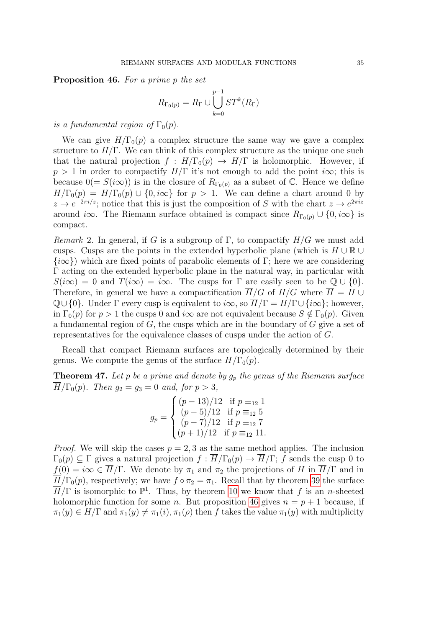<span id="page-34-0"></span>Proposition 46. For a prime p the set

$$
R_{\Gamma_0(p)} = R_{\Gamma} \cup \bigcup_{k=0}^{p-1} ST^k(R_{\Gamma})
$$

is a fundamental region of  $\Gamma_0(p)$ .

We can give  $H/\Gamma_0(p)$  a complex structure the same way we gave a complex structure to  $H/\Gamma$ . We can think of this complex structure as the unique one such that the natural projection  $f : H/\Gamma_0(p) \to H/\Gamma$  is holomorphic. However, if  $p > 1$  in order to compactify  $H/\Gamma$  it's not enough to add the point i $\infty$ ; this is because  $0(= S(i\infty))$  is in the closure of  $R_{\Gamma_0(p)}$  as a subset of C. Hence we define  $\overline{H}/\Gamma_0(p) = H/\Gamma_0(p) \cup \{0, i\infty\}$  for  $p > 1$ . We can define a chart around 0 by  $z \to e^{-2\pi i/z}$ ; notice that this is just the composition of S with the chart  $z \to e^{2\pi i z}$ around i∞. The Riemann surface obtained is compact since  $R_{\Gamma_0(p)} \cup \{0, i\infty\}$  is compact.

Remark 2. In general, if G is a subgroup of  $\Gamma$ , to compactify  $H/G$  we must add cusps. Cusps are the points in the extended hyperbolic plane (which is  $H \cup \mathbb{R} \cup$  $\{\infty\}$ ) which are fixed points of parabolic elements of Γ; here we are considering Γ acting on the extended hyperbolic plane in the natural way, in particular with  $S(i\infty) = 0$  and  $T(i\infty) = i\infty$ . The cusps for  $\Gamma$  are easily seen to be  $\mathbb{Q} \cup \{0\}$ . Therefore, in general we have a compactification  $\overline{H}/G$  of  $H/G$  where  $\overline{H} = H \cup$  $\mathbb{Q}\cup\{0\}$ . Under  $\Gamma$  every cusp is equivalent to  $i\infty$ , so  $\overline{H}/\Gamma = H/\Gamma \cup \{i\infty\}$ ; however, in  $\Gamma_0(p)$  for  $p > 1$  the cusps 0 and  $i\infty$  are not equivalent because  $S \notin \Gamma_0(p)$ . Given a fundamental region of  $G$ , the cusps which are in the boundary of  $G$  give a set of representatives for the equivalence classes of cusps under the action of G.

Recall that compact Riemann surfaces are topologically determined by their genus. We compute the genus of the surface  $H/\Gamma_0(p)$ .

**Theorem 47.** Let p be a prime and denote by  $g_p$  the genus of the Riemann surface  $\overline{H}/\Gamma_0(p)$ . Then  $g_2 = g_3 = 0$  and, for  $p > 3$ ,

$$
g_p = \begin{cases} (p-13)/12 & \text{if } p \equiv_{12} 1\\ (p-5)/12 & \text{if } p \equiv_{12} 5\\ (p-7)/12 & \text{if } p \equiv_{12} 7\\ (p+1)/12 & \text{if } p \equiv_{12} 11. \end{cases}
$$

*Proof.* We will skip the cases  $p = 2, 3$  as the same method applies. The inclusion  $\Gamma_0(p) \subseteq \Gamma$  gives a natural projection  $f : H/\Gamma_0(p) \to H/\Gamma$ ; f sends the cusp 0 to  $f(0) = i\infty \in \overline{H}/\Gamma$ . We denote by  $\pi_1$  and  $\pi_2$  the projections of H in  $\overline{H}/\Gamma$  and in  $\overline{H}/\Gamma_0(p)$ , respectively; we have  $f \circ \pi_2 = \pi_1$ . Recall that by theorem [39](#page-30-1) the surface  $\overline{H}/\Gamma$  is isomorphic to  $\mathbb{P}^1$ . Thus, by theorem [10](#page-6-0) we know that f is an n-sheeted holomorphic function for some *n*. But proposition [46](#page-34-0) gives  $n = p + 1$  because, if  $\pi_1(y) \in H/\Gamma$  and  $\pi_1(y) \neq \pi_1(i), \pi_1(\rho)$  then f takes the value  $\pi_1(y)$  with multiplicity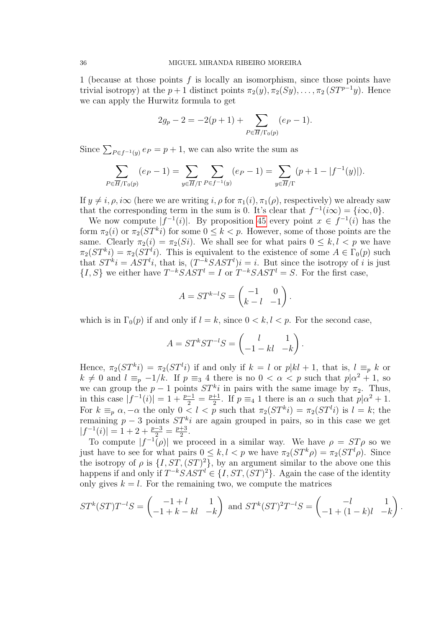1 (because at those points f is locally an isomorphism, since those points have trivial isotropy) at the  $p + 1$  distinct points  $\pi_2(y), \pi_2(Sy), \ldots, \pi_2(ST^{p-1}y)$ . Hence we can apply the Hurwitz formula to get

$$
2g_p - 2 = -2(p+1) + \sum_{P \in \overline{H}/\Gamma_0(p)} (e_P - 1).
$$

Since  $\sum_{P \in f^{-1}(y)} e_P = p + 1$ , we can also write the sum as

$$
\sum_{P \in \overline{H}/\Gamma_0(p)} (e_P - 1) = \sum_{y \in \overline{H}/\Gamma} \sum_{P \in f^{-1}(y)} (e_P - 1) = \sum_{y \in \overline{H}/\Gamma} (p + 1 - |f^{-1}(y)|).
$$

If  $y \neq i$ ,  $\rho$ ,  $i\infty$  (here we are writing i,  $\rho$  for  $\pi_1(i)$ ,  $\pi_1(\rho)$ , respectively) we already saw that the corresponding term in the sum is 0. It's clear that  $f^{-1}(i\infty) = {i\infty, 0}.$ 

We now compute  $|f^{-1}(i)|$ . By proposition [45](#page-33-1) every point  $x \in f^{-1}(i)$  has the form  $\pi_2(i)$  or  $\pi_2(ST^ki)$  for some  $0 \leq k < p$ . However, some of those points are the same. Clearly  $\pi_2(i) = \pi_2(S_i)$ . We shall see for what pairs  $0 \leq k, l < p$  we have  $\pi_2(ST^ki) = \pi_2(ST^li)$ . This is equivalent to the existence of some  $A \in \Gamma_0(p)$  such that  $ST^ki = AST^li$ , that is,  $(T^{-k}SAST^l)i = i$ . But since the isotropy of i is just  $\{I, S\}$  we either have  $T^{-k}SAST^l = I$  or  $T^{-k}SAST^l = S$ . For the first case,

$$
A = ST^{k-l}S = \begin{pmatrix} -1 & 0 \\ k-l & -1 \end{pmatrix}.
$$

which is in  $\Gamma_0(p)$  if and only if  $l = k$ , since  $0 < k, l < p$ . For the second case,

$$
A = ST^{k}ST^{-l}S = \begin{pmatrix} l & 1 \\ -1 - kl & -k \end{pmatrix}.
$$

Hence,  $\pi_2(ST^ki) = \pi_2(ST^li)$  if and only if  $k = l$  or  $p|kl + 1$ , that is,  $l \equiv_p k$  or  $k \neq 0$  and  $l \equiv_p -1/k$ . If  $p \equiv_3 4$  there is no  $0 < \alpha < p$  such that  $p|\alpha^2 + 1$ , so we can group the  $p-1$  points  $ST<sup>k</sup>i$  in pairs with the same image by  $\pi_2$ . Thus, in this case  $|f^{-1}(i)| = 1 + \frac{p-1}{2} = \frac{p+1}{2}$  $\frac{+1}{2}$ . If  $p \equiv_4 1$  there is an  $\alpha$  such that  $p|\alpha^2 + 1$ . For  $k \equiv_p \alpha, -\alpha$  the only  $0 < l < p$  such that  $\pi_2(ST^k i) = \pi_2(ST^l i)$  is  $l = k$ ; the remaining  $p-3$  points  $ST<sup>k</sup>i$  are again grouped in pairs, so in this case we get  $|f^{-1}(i)| = 1 + 2 + \frac{p-3}{2} = \frac{p+3}{2}$  $\frac{+3}{2}$ .

To compute  $|f^{-1}(\rho)|$  we proceed in a similar way. We have  $\rho = ST\rho$  so we just have to see for what pairs  $0 \leq k, l < p$  we have  $\pi_2(ST^k \rho) = \pi_2(ST^l \rho)$ . Since the isotropy of  $\rho$  is  $\{I, ST, (ST)^2\}$ , by an argument similar to the above one this happens if and only if  $T^{-k}SAST^l \in \{I, ST, (ST)^2\}$ . Again the case of the identity only gives  $k = l$ . For the remaining two, we compute the matrices

$$
ST^{k}(ST)T^{-l}S = \begin{pmatrix} -1+l & 1\\ -1+k-kl & -k \end{pmatrix} \text{ and } ST^{k}(ST)^{2}T^{-l}S = \begin{pmatrix} -l & 1\\ -1+(1-k)l & -k \end{pmatrix}.
$$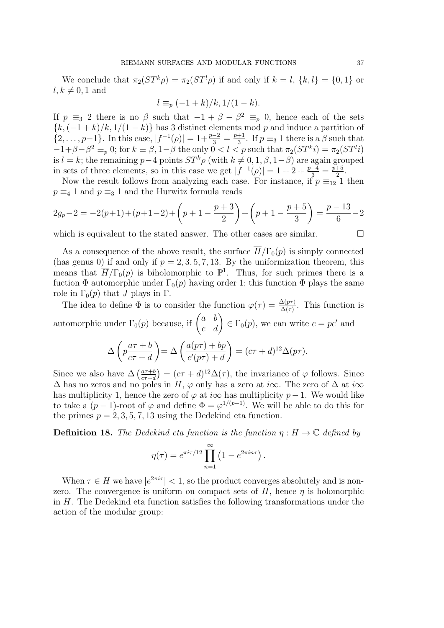We conclude that  $\pi_2(ST^k\rho) = \pi_2(ST^l\rho)$  if and only if  $k = l, \{k, l\} = \{0, 1\}$  or  $l, k \neq 0, 1$  and

$$
l \equiv_p (-1+k)/k, 1/(1-k).
$$

If  $p \equiv_3 2$  there is no  $\beta$  such that  $-1 + \beta - \beta^2 \equiv_p 0$ , hence each of the sets  ${k, (-1+k)/k, 1/(1-k)}$  has 3 distinct elements mod p and induce a partition of  $\{2,\ldots,p-1\}$ . In this case,  $|f^{-1}(\rho)| = 1 + \frac{p-2}{3} = \frac{p+1}{3}$  $\frac{+1}{3}$ . If  $p \equiv_3 1$  there is a  $\beta$  such that  $-1+\beta-\beta^2 \equiv_p 0$ ; for  $k \equiv \beta, 1-\beta$  the only  $0 < l < p$  such that  $\pi_2(ST^k i) = \pi_2(ST^l i)$ is l = k; the remaining p−4 points  $ST^k \rho$  (with  $k \neq 0, 1, \beta, 1-\beta$ ) are again grouped in sets of three elements, so in this case we get  $|f^{-1}(\rho)| = 1 + 2 + \frac{p-4}{3} = \frac{p+5}{2}$  $rac{+5}{2}$ .

Now the result follows from analyzing each case. For instance, if  $p \equiv_{12} 1$  then  $p \equiv 4 1$  and  $p \equiv 3 1$  and the Hurwitz formula reads

$$
2g_p - 2 = -2(p+1) + (p+1-2) + \left(p+1 - \frac{p+3}{2}\right) + \left(p+1 - \frac{p+5}{3}\right) = \frac{p-13}{6} - 2
$$

which is equivalent to the stated answer. The other cases are similar.  $\Box$ 

As a consequence of the above result, the surface  $H/\Gamma_0(p)$  is simply connected (has genus 0) if and only if  $p = 2, 3, 5, 7, 13$ . By the uniformization theorem, this means that  $\overline{H}/\Gamma_0(p)$  is biholomorphic to  $\mathbb{P}^1$ . Thus, for such primes there is a fuction  $\Phi$  automorphic under  $\Gamma_0(p)$  having order 1; this function  $\Phi$  plays the same role in  $\Gamma_0(p)$  that J plays in  $\Gamma$ .

The idea to define  $\Phi$  is to consider the function  $\varphi(\tau) = \frac{\Delta(p\tau)}{\Delta(\tau)}$ . This function is automorphic under  $\Gamma_0(p)$  because, if  $\begin{pmatrix} a & b \\ c & d \end{pmatrix} \in \Gamma_0(p)$ , we can write  $c = pc'$  and

$$
\Delta \left( p \frac{a\tau + b}{c\tau + d} \right) = \Delta \left( \frac{a(p\tau) + bp}{c'(p\tau) + d} \right) = (c\tau + d)^{12} \Delta(p\tau).
$$

Since we also have  $\Delta \left( \frac{a\tau+b}{c\tau+d} \right)$  $\frac{a\tau+b}{c\tau+d}$  =  $(c\tau+d)^{12}\Delta(\tau)$ , the invariance of  $\varphi$  follows. Since  $\Delta$  has no zeros and no poles in H,  $\varphi$  only has a zero at i $\infty$ . The zero of  $\Delta$  at i $\infty$ has multiplicity 1, hence the zero of  $\varphi$  at i $\infty$  has multiplicity p − 1. We would like to take a  $(p-1)$ -root of  $\varphi$  and define  $\Phi = \varphi^{1/(p-1)}$ . We will be able to do this for the primes  $p = 2, 3, 5, 7, 13$  using the Dedekind eta function.

**Definition 18.** The Dedekind eta function is the function  $\eta : H \to \mathbb{C}$  defined by

$$
\eta(\tau) = e^{\pi i \tau/12} \prod_{n=1}^{\infty} \left( 1 - e^{2\pi i n \tau} \right).
$$

When  $\tau \in H$  we have  $|e^{2\pi i \tau}| < 1$ , so the product converges absolutely and is nonzero. The convergence is uniform on compact sets of  $H$ , hence  $\eta$  is holomorphic in H. The Dedekind eta function satisfies the following transformations under the action of the modular group: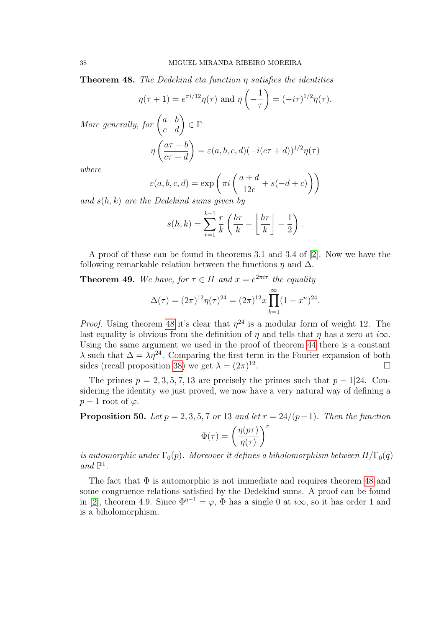<span id="page-37-0"></span>**Theorem 48.** The Dedekind eta function  $\eta$  satisfies the identities

$$
\eta(\tau+1) = e^{\pi i/12} \eta(\tau) \text{ and } \eta\left(-\frac{1}{\tau}\right) = (-i\tau)^{1/2} \eta(\tau).
$$

More generally, for  $\begin{pmatrix} a & b \\ c & d \end{pmatrix} \in \Gamma$ η  $\int a\tau + b$  $c\tau + d$  $= \varepsilon(a,b,c,d)(-i(c\tau+d))^{1/2}\eta(\tau)$ 

where

$$
\varepsilon(a, b, c, d) = \exp\left(\pi i \left(\frac{a+d}{12c} + s(-d+c)\right)\right)
$$

and  $s(h, k)$  are the Dedekind sums given by

$$
s(h,k) = \sum_{r=1}^{k-1} \frac{r}{k} \left( \frac{hr}{k} - \left\lfloor \frac{hr}{k} \right\rfloor - \frac{1}{2} \right).
$$

A proof of these can be found in theorems 3.1 and 3.4 of [\[2\]](#page-40-2). Now we have the following remarkable relation between the functions  $\eta$  and  $\Delta$ .

**Theorem 49.** We have, for  $\tau \in H$  and  $x = e^{2\pi i \tau}$  the equality

$$
\Delta(\tau) = (2\pi)^{12} \eta(\tau)^{24} = (2\pi)^{12} x \prod_{k=1}^{\infty} (1 - x^n)^{24}.
$$

*Proof.* Using theorem [48](#page-37-0) it's clear that  $\eta^{24}$  is a modular form of weight 12. The last equality is obvious from the definition of  $\eta$  and tells that  $\eta$  has a zero at i $\infty$ . Using the same argument we used in the proof of theorem [44](#page-33-2) there is a constant  $\lambda$  such that  $\Delta = \lambda \eta^{24}$ . Comparing the first term in the Fourier expansion of both sides (recall proposition [38\)](#page-29-0) we get  $\lambda = (2\pi)^{12}$ .

The primes  $p = 2, 3, 5, 7, 13$  are precisely the primes such that  $p - 1/24$ . Considering the identity we just proved, we now have a very natural way of defining a  $p-1$  root of  $\varphi$ .

**Proposition 50.** Let  $p = 2, 3, 5, 7$  or 13 and let  $r = \frac{24}{p-1}$ . Then the function

$$
\Phi(\tau)=\left(\frac{\eta(p\tau)}{\eta(\tau)}\right)^r
$$

is automorphic under  $\Gamma_0(p)$ . Moreover it defines a biholomorphism between  $H/\Gamma_0(q)$ and  $\mathbb{P}^1$ .

The fact that  $\Phi$  is automorphic is not immediate and requires theorem [48](#page-37-0) and some congruence relations satisfied by the Dedekind sums. A proof can be found in [\[2\]](#page-40-2), theorem 4.9. Since  $\Phi^{q-1} = \varphi$ ,  $\Phi$  has a single 0 at  $i\infty$ , so it has order 1 and is a biholomorphism.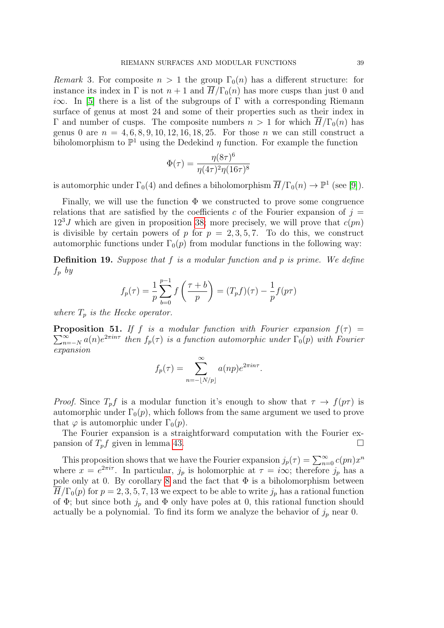Remark 3. For composite  $n > 1$  the group  $\Gamma_0(n)$  has a different structure: for instance its index in  $\Gamma$  is not  $n+1$  and  $\overline{H}/\Gamma_0(n)$  has more cusps than just 0 and i $\infty$ . In [\[5\]](#page-40-7) there is a list of the subgroups of Γ with a corresponding Riemann surface of genus at most 24 and some of their properties such as their index in Γ and number of cusps. The composite numbers  $n > 1$  for which  $\overline{H}/\Gamma_0(n)$  has genus 0 are  $n = 4, 6, 8, 9, 10, 12, 16, 18, 25$ . For those n we can still construct a biholomorphism to  $\mathbb{P}^1$  using the Dedekind  $\eta$  function. For example the function

$$
\Phi(\tau) = \frac{\eta(8\tau)^6}{\eta(4\tau)^2 \eta(16\tau)^8}
$$

is automorphic under  $\Gamma_0(4)$  and defines a biholomorphism  $\overline{H}/\Gamma_0(n) \to \mathbb{P}^1$  (see [\[9\]](#page-40-8)).

Finally, we will use the function  $\Phi$  we constructed to prove some congruence relations that are satisfied by the coefficients c of the Fourier expansion of  $j =$  $12<sup>3</sup>J$  which are given in proposition [38;](#page-29-0) more precisely, we will prove that  $c(pn)$ is divisible by certain powers of p for  $p = 2, 3, 5, 7$ . To do this, we construct automorphic functions under  $\Gamma_0(p)$  from modular functions in the following way:

**Definition 19.** Suppose that  $f$  is a modular function and  $p$  is prime. We define  $f_p$  by

$$
f_p(\tau) = \frac{1}{p} \sum_{b=0}^{p-1} f\left(\frac{\tau + b}{p}\right) = (T_p f)(\tau) - \frac{1}{p} f(p\tau)
$$

where  $T_p$  is the Hecke operator.

<span id="page-38-0"></span>**Proposition 51.** If f is a modular function with Fourier expansion  $f(\tau)$  =  $\sum_{n=1}^{\infty}$  $\sum_{n=-N}^{\infty} a(n) e^{2\pi i n \tau}$  then  $f_p(\tau)$  is a function automorphic under  $\Gamma_0(p)$  with Fourier expansion

$$
f_p(\tau) = \sum_{n=-\lfloor N/p \rfloor}^{\infty} a(np)e^{2\pi i n\tau}.
$$

*Proof.* Since  $T_p f$  is a modular function it's enough to show that  $\tau \to f(p\tau)$  is automorphic under  $\Gamma_0(p)$ , which follows from the same argument we used to prove that  $\varphi$  is automorphic under  $\Gamma_0(p)$ .

The Fourier expansion is a straightforward computation with the Fourier expansion of  $T_p f$  given in lemma [43.](#page-32-0)

This proposition shows that we have the Fourier expansion  $j_p(\tau) = \sum_{n=0}^{\infty} c(pn)x^n$ where  $x = e^{2\pi i \tau}$ . In particular,  $j_p$  is holomorphic at  $\tau = i\infty$ ; therefore  $j_p$  has a pole only at 0. By corollary [8](#page-4-3) and the fact that  $\Phi$  is a biholomorphism between  $H/\Gamma_0(p)$  for  $p=2,3,5,7,13$  we expect to be able to write  $j_p$  has a rational function of  $\Phi$ ; but since both  $j_p$  and  $\Phi$  only have poles at 0, this rational function should actually be a polynomial. To find its form we analyze the behavior of  $j_p$  near 0.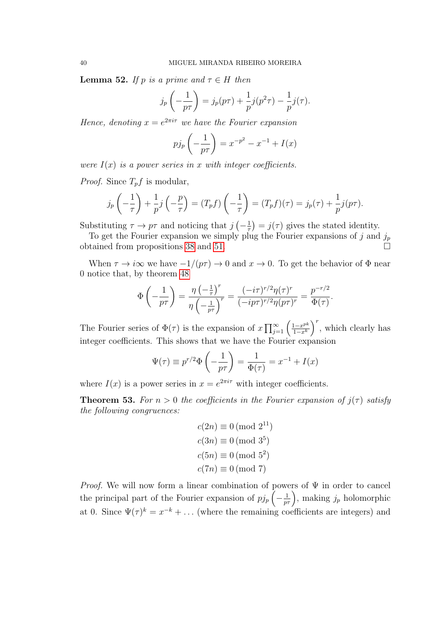<span id="page-39-0"></span>**Lemma 52.** If p is a prime and  $\tau \in H$  then

$$
j_p\left(-\frac{1}{p\tau}\right) = j_p(p\tau) + \frac{1}{p}j(p^2\tau) - \frac{1}{p}j(\tau).
$$

Hence, denoting  $x = e^{2\pi i \tau}$  we have the Fourier expansion

$$
p j_p \left(-\frac{1}{p\tau}\right) = x^{-p^2} - x^{-1} + I(x)
$$

were  $I(x)$  is a power series in x with integer coefficients.

*Proof.* Since  $T_p f$  is modular,

$$
j_p\left(-\frac{1}{\tau}\right) + \frac{1}{p}j\left(-\frac{p}{\tau}\right) = (T_p f)\left(-\frac{1}{\tau}\right) = (T_p f)(\tau) = j_p(\tau) + \frac{1}{p}j(p\tau).
$$

Substituting  $\tau \to p\tau$  and noticing that  $j\left(-\frac{1}{\tau}\right)$  $(\frac{1}{\tau}) = j(\tau)$  gives the stated identity.

To get the Fourier expansion we simply plug the Fourier expansions of j and  $j_p$ obtained from propositions [38](#page-29-0) and [51.](#page-38-0)

When  $\tau \to i\infty$  we have  $-1/(p\tau) \to 0$  and  $x \to 0$ . To get the behavior of  $\Phi$  near 0 notice that, by theorem [48](#page-37-0)

$$
\Phi\left(-\frac{1}{p\tau}\right) = \frac{\eta\left(-\frac{1}{\tau}\right)^r}{\eta\left(-\frac{1}{p\tau}\right)^r} = \frac{(-i\tau)^{r/2}\eta(\tau)^r}{(-ip\tau)^{r/2}\eta(p\tau)^r} = \frac{p^{-r/2}}{\Phi(\tau)}.
$$

The Fourier series of  $\Phi(\tau)$  is the expansion of  $x \prod_{j=1}^{\infty} \left( \frac{1-x^{pk}}{1-x^k} \right)$  $\frac{1-x^{pk}}{1-x^k}$ , which clearly has integer coefficients. This shows that we have the Fourier expansion

$$
\Psi(\tau) \equiv p^{r/2} \Phi\left(-\frac{1}{p\tau}\right) = \frac{1}{\Phi(\tau)} = x^{-1} + I(x)
$$

where  $I(x)$  is a power series in  $x = e^{2\pi i \tau}$  with integer coefficients.

**Theorem 53.** For  $n > 0$  the coefficients in the Fourier expansion of  $j(\tau)$  satisfy the following congruences:

$$
c(2n) \equiv 0 \pmod{2^{11}}
$$

$$
c(3n) \equiv 0 \pmod{3^5}
$$

$$
c(5n) \equiv 0 \pmod{5^2}
$$

$$
c(7n) \equiv 0 \pmod{7}
$$

*Proof.* We will now form a linear combination of powers of  $\Psi$  in order to cancel the principal part of the Fourier expansion of  $p j_p \left(-\frac{1}{p\tau}\right)$ , making  $j_p$  holomorphic at 0. Since  $\Psi(\tau)^k = x^{-k} + \dots$  (where the remaining coefficients are integers) and